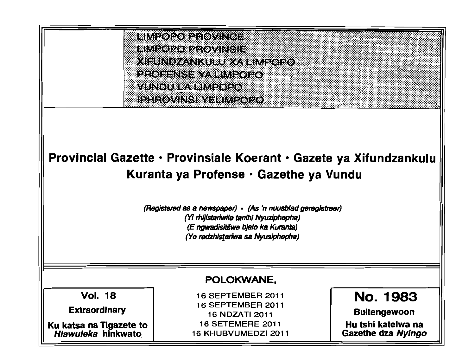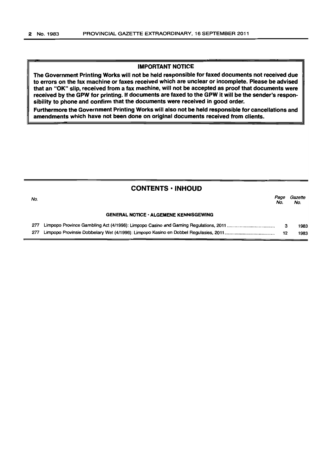# IMPORTANT NOTICE

The Government Printing Works will not be held responsible for faxed documents not received due to errors on the fax machine or faxes received which are unclear or incomplete. Please be advised that an "OK" slip, received from a fax machine, will not be accepted as proof that documents were received by the GPW for printing. If documents are faxed to the GPW it will be the sender's responsibility to phone and confirm that the documents were received in good order.

Furthermore the Government Printing Works will also not be held responsible for cancellations and amendments which have not been done on original documents received from clients.

# CONTENTS • INHOUD

| No. |                                               | Page<br>No. | Gazette<br>No. |
|-----|-----------------------------------------------|-------------|----------------|
|     | <b>GENERAL NOTICE · ALGEMENE KENNISGEWING</b> |             |                |
| 277 |                                               | 3           | 1983           |
| 277 |                                               | -12         | 1983           |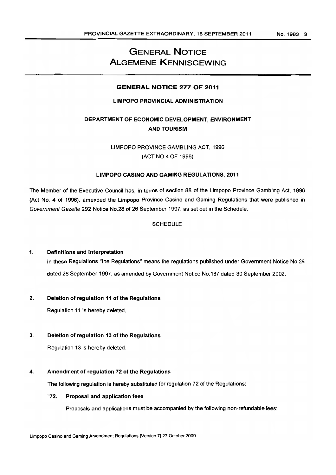# GENERAL NOTICE ALGEMENE KENNISGEWING

# GENERAL NOTICE 277 OF 2011

# LIMPOPO PROVINCIAL ADMINISTRATION

# DEPARTMENT OF ECONOMIC DEVELOPMENT, ENVIRONMENT AND TOURISM

LIMPOPO PROVINCE GAMBLING ACT, 1996 (ACT NO.4 OF 1996)

# LIMPOPO CASINO AND GAMING REGULATIONS, 2011

The Member of the Executive Council has, in terms of section 88 of the Limpopo Province Gambling Act, 1996 (Act No.4 of 1996), amended the Limpopo Province Casino and Gaming Regulations that were published in Government Gazette 292 Notice NO.28 of 26 September 1997, as set out in the Schedule.

### **SCHEDULE**

### 1. Definitions and Interpretation

In these Regulations "the Regulations" means the regulations published under Government Notice No.28 dated 26 September 1997, as amended by Government Notice No.167 dated 30 September 2002.

### 2, Deletion of regulation 11 of the Regulations

Regulation 11 is hereby deleted.

### 3. Deletion of regulation 13 of the Regulations

Regulation 13 is hereby deleted.

### 4. Amendment of regulation 72 of the Regulations

The following regulation is hereby substituted for regulation 72 of the Regulations:

### "72. Proposal and application fees

Proposals and applications must be accompanied by the following non-refundable fees: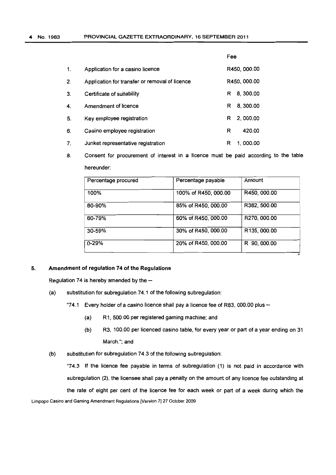|    |                                                | Fee            |
|----|------------------------------------------------|----------------|
| 1. | Application for a casino licence               | R450, 000.00   |
| 2. | Application for transfer or removal of licence | R450, 000.00   |
| 3. | Certificate of suitability                     | 8, 300.00<br>R |
| 4. | Amendment of licence                           | 8, 300.00<br>R |
| 5. | Key employee registration                      | 2, 000.00<br>R |
| 6. | Casino employee registration                   | 420.00<br>R    |
| 7. | Junket representative registration             | 1.000.00<br>R  |

8. Consent for procurement of interest in a licence must be paid according to the table hereunder:

| Percentage procured | Percentage payable   | Amount       |
|---------------------|----------------------|--------------|
| 100%                | 100% of R450, 000.00 | R450, 000.00 |
| 80-90%              | 85% of R450, 000.00  | R382, 500.00 |
| 60-79%              | 60% of R450, 000.00  | R270, 000.00 |
| 30-59%              | 30% of R450, 000.00  | R135, 000.00 |
| $0 - 29%$           | 20% of R450, 000.00  | R 90, 000.00 |

"

#### 5. Amendment of regulation 74 of **the** Regulations

Regulation 74 is hereby amended by the  $-$ 

(a) substitution for subregulation 74.1 of the following subregulation:

"74.1 Every holder of a casino licence shall pay a licence fee of R83, 000.00 plus  $-$ 

- (a) R1, 500.00 per registered gaming machine; and
- (b) R3. 100.00 per licenced casino table, for every year or part of a year ending on 31 March."; and
- (b) substitution for subregulation 74.3 of the following subregulation:

"74.3 If the licence fee payable in terms of subregulation (1) is not paid in accordance with subregulation (2). the licensee shall pay a penalty on the amount of any licence fee outstanding at the rate of eight per cent of the licence fee for each week or part of a week during which the Limpopo Casino and Gaming Amendment Regulations [Version 7] 27 October 2009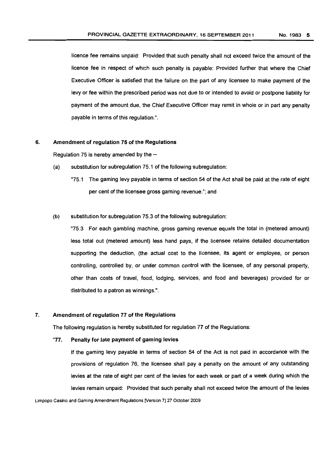licence fee remains unpaid: Provided that such penalty shall not exceed twice the amount of the licence fee in respect of which such penalty is payable: Provided further that where the Chief Executive Officer is satisfied that the failure on the part of any licensee to make payment of the levy or fee within the prescribed period was not due to or intended to avoid or postpone liability for payment of the amount due, the Chief Executive Officer may remit in whole or in part any penalty payable in terms of this regulation.".

### 6. Amendment of regulation 75 of the Regulations

Regulation 75 is hereby amended by the  $-$ 

- (a) substitution for subregulation 75.1 of the following subregulation:
	- "75.1 The gaming levy payable in terms of section 54 of the Act shall be paid at the rate of eight per cent of the licensee gross gaming revenue."; and

#### (b) substitution for subregulation 75.3 of the following subregulation:

"75.3 For each gambling machine, gross gaming revenue equals the total in (metered amount) less total out (metered amount) less hand pays, if the licensee retains detailed documentation supporting the deduction, (the actual cost to the licensee, its agent or employee, or person controlling, controlled by, or under common control with the licensee, of any personal property, other than costs of travel, food, lodging, services, and food and beverages) provided for or distributed to a patron as winnings.".

### 7. Amendment of regulation 77 of the Regulations

The following regulation is hereby substituted for regulation 77 of the Regulations:

#### "77. Penalty for late payment of gaming levies

If the gaming levy payable in terms of section 54 of the Act is not paid in accordance with the provisions of regulation 76, the licensee shall pay a penalty on the amount of any outstanding levies at the rate of eight per cent of the levies for each week or part of a week during which the levies remain unpaid: Provided that such penalty shall not exceed twice the amount of the levies

Limpopo Casino and Gaming Amendment Regulations [Version 7] 27 October *2009*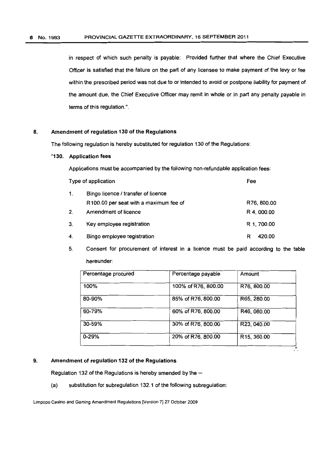in respect of which such penalty is payable: Provided further that where the Chief Executive Officer is satisfied that the failure on the part of any licensee to make payment of the levy or fee within the prescribed period was not due to or intended to avoid or postpone liability for payment of the amount due, the Chief Executive Officer may remit in whole or in part any penalty payable in terms of this regulation. ".

#### 8. Amendment of regulation 130 of the Regulations

The following regulation is hereby substituted for regulation 130 of the Regulations:

### "130. Application fees

Applications must be accompanied by the following non-refundable application fees:

| Type of application |                                        | Fee         |
|---------------------|----------------------------------------|-------------|
| 1.                  | Bingo licence / transfer of licence    |             |
|                     | R100.00 per seat with a maximum fee of | R76, 800.00 |
| 2 <sub>1</sub>      | Amendment of licence                   | R 4, 000.00 |
| 3.                  | Key employee registration              | R 1, 700.00 |
| 4.                  | Bingo employee registration            | 420.00<br>R |

5. Consent for procurement of interest in a licence must be paid according to the table hereunder:

| Percentage procured | Percentage payable  | Amount      |
|---------------------|---------------------|-------------|
| 100%                | 100% of R76, 800.00 | R76, 800.00 |
| 80-90%              | 85% of R76, 800.00  | R65, 280.00 |
| 60-79%              | 60% of R76, 800.00  | R46, 080.00 |
| 30-59%              | 30% of R76, 800.00  | R23, 040.00 |
| $0 - 29%$           | 20% of R76, 800.00  | R15, 360.00 |

### 9. Amendment of regulation 132 of the Regulations

Regulation 132 of the Regulations is hereby amended by the  $-$ 

(a) substitution for subregulation 132.1 of the following subregulation:

Limpopo Casino and Gaming Amendment Regulations [Version 7) 27 October 2009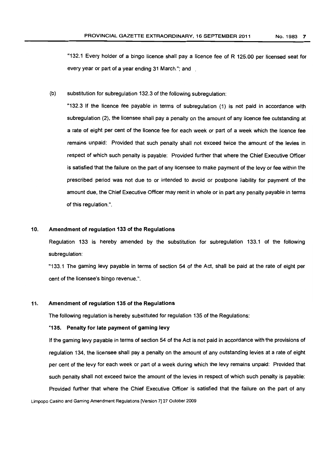"132.1 Every holder of a bingo licence shall pay a licence fee of R 125.00 per licensed seat for every year or part of a year ending 31 March.": and

(b) substitution for subregulation 132.3 of the following subregulation:

"132.3 If the licence fee payable in terms of subregulation (1) is not paid in accordance with subregulation (2), the licensee shall pay a penalty on the amount of any licence fee outstanding at a rate of eight per cent of the licence fee for each week or part of a week which the licence fee remains unpaid: Provided that such penalty shall not exceed twice the amount of the levies in respect of which such penalty is payable: Provided further that where the Chief Executive Officer is satisfied that the failure on the part of any licensee to make payment of the levy or fee within the prescribed period was not due to or intended to avoid or postpone liability for payment of the amount due, the Chief Executive Officer may remit in whole or in part any penalty payable in terms of this regulation.".

#### 10. Amendment of regulation 133 of the Regulations

Regulation 133 is hereby amended by the substitution for subregulation 133.1 of the following subregulation:

"133.1 The gaming levy payable in terms of section 54 of the Act, shall be paid at the rate of eight per cent of the licensee's bingo revenue.",

#### 11. Amendment of regulation 135 of the Regulations

The following regulation is hereby substituted for regulation 135 of the Regulations:

#### "135. Penalty for late payment of gaming levy

If the gaming levy payable in terms of section 54 of the Act is not paid in accordance with the provisions of regulation 134, the licensee shall pay a penalty on the amount of any outstanding levies at a rate of eight per cent of the levy for each week or part of a week during which the levy remains unpaid: Provided that such penalty shall not exceed twice the amount of the levies in respect of which such penalty is payable: Provided further that where the Chief Executive Officer is satisfied that the failure on the part of any

Limpopo Casino and Gaming Amendment Regulations [Version 71 27 October 2009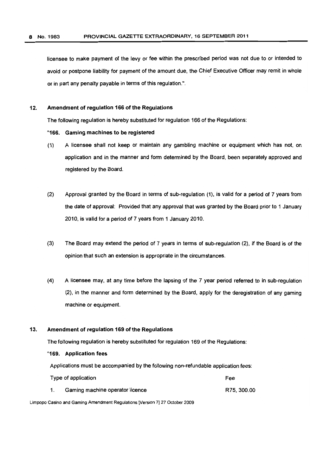licensee to make payment of the levy or fee within the prescribed period was not due to or intended to avoid or postpone liability for payment of the amount due, the Chief Executive Officer may remit in whole or in part any penalty payable in terms of this regulation.".

### 12. Amendment of regulation 166 of the Regulations

The following regulation is hereby substituted for regulation 166 of the Regulations:

### "166. Gaming machines to be registered

- (1) A licensee shall not keep or maintain any gambling machine or equipment which has not. on application and in the manner and form determined by the Board, been separately approved and registered by the Board.
- (2) Approval granted by the Board in terms of sub-regulation (1), is valid for a period of 7 years from the date of approval: Provided that any approval that was granted by the Board prior to 1 January 2010, is valid for a period of 7 years from 1 January 2010.
- (3) The Board may extend the period of 7 years in terms of sub-regulation (2), if the Board is of the opinion that such an extension is appropriate in the circumstances.
- (4) A licensee may, at any time before the lapsing of the 7 year period referred to in sub-regulation (2), in the manner and form determined by the Board, apply for the deregistration of any gaming machine or equipment.

#### 13. Amendment of regulation 169 of the Regulations

The following regulation is hereby substituted for regulation 169 of the Regulations:

#### "169. Application fees

Applications must be accompanied by the following non-refundable application fees:

| Type of application             | Fee         |
|---------------------------------|-------------|
| Gaming machine operator licence | R75, 300.00 |

Limpopo Casino and Gaming Amendment Regulations [Version 7] 27 October 2009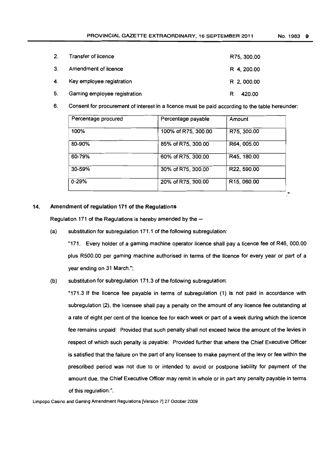| 2. | Transfer of licence          | R75, 300.00 |
|----|------------------------------|-------------|
| 3. | Amendment of licence         | R 4, 200.00 |
|    | 4. Key employee registration | R 2,000.00  |
| 5. | Gaming employee registration | 420.00      |

6. Consent for procurement of interest in a licence must be paid according to the table hereunder:

| Percentage procured | Percentage payable  | Amount      |
|---------------------|---------------------|-------------|
| 100%                | 100% of R75, 300.00 | R75, 300.00 |
| 80-90%              | 85% of R75, 300.00  | R64, 005.00 |
| 60-79%              | 60% of R75, 300.00  | R45, 180.00 |
| $30 - 59%$          | 30% of R75, 300.00  | R22, 590.00 |
| $0 - 29%$           | 20% of R75, 300.00  | R15, 060.00 |

### 14. Amendment of regulation 171 of the Regulations

Regulation 171 of the Regulations is hereby amended by the  $-$ 

(a) substitution for subregulation 171.1 of the following subregulation:

"171. Every holder of a gaming machine operator licence shall pay a licence fee of R46. 000.00 plus RSOO.OO per gaming machine authorised in terms of the licence for every year or part of a year ending on 31 March.";

(b) substitution for subregulation 171.3 of the following subregulation:

"171.3 If the licence fee payable in terms of subregulation (1) is not paid in accordance with subregulation (2). the licensee shall pay a penalty on the amount of any licence fee outstanding at a rate of eight per cent of the licence fee for each week or part of a week during which the licence fee remains unpaid: Provided that such penalty shall not exceed twice the amount of the levies in respect of which such penalty is payable: Provided further that where the Chief Executive Officer is satisfied that the failure on the part of any licensee to make payment of the levy or fee within the prescribed period was not due to or intended to avoid or postpone liability for payment of the amount due. the Chief Executive Officer may remit in whole or in part any penalty payable in terms of this regulation.".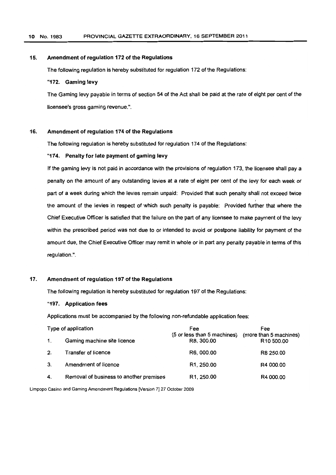#### 15. Amendment of regulation 172 of the Regulations

The following regulation is hereby substituted for regulation 172 of the Regulations:

# "172. Gaming levy

The Gaming levy payable in terms of section 54 of the Act shall be paid at the rate of eight per cent of the licensee's gross gaming revenue.".

#### 16. Amendment of regulation 174 of the Regulations

The following regulation is hereby substituted for regulation 174 of the Regulations:

#### "174. Penalty for late payment of gaming levy

If the gaming levy is not paid in accordance with the provisions of regulation 173, the licensee shall pay a penalty on the amount of any outstanding levies at a rate of eight per cent of the levy for each week or part of a week during which the levies remain unpaid: Provided that such penalty shall not exceed twice the amount of the levies in respect of which such penalty is payable: Provided further that where the Chief Executive Officer is satisfied that the failure on the part of any licensee to make payment of the levy within the prescribed period was not due to or intended to avoid or postpone liability for payment of the amount due, the Chief Executive Officer may remit in whole or in part any penalty payable in terms of this regulation.".

### 17. Amendment of regulation 197 of the Regulations

The following regulation is hereby substituted for regulation 197 of the Regulations:

#### "197. Application fees

Applications must be accompanied by the following non-refundable application fees:

|    | Type of application                     | Fee                                       | Fee                                              |
|----|-----------------------------------------|-------------------------------------------|--------------------------------------------------|
|    | Gaming machine site licence             | (5 or less than 5 machines)<br>R8, 300.00 | (more than 5 machines)<br>R <sub>10</sub> 500.00 |
| 2. | Transfer of licence                     | R6, 000.00                                | R8 250.00                                        |
| 3. | Amendment of licence                    | R <sub>1</sub> , 250.00                   | R4 000.00                                        |
| 4. | Removal of business to another premises | R <sub>1</sub> , 250.00                   | R4 000.00                                        |

Limpopo Casino and Gaming Amendment Regulations [Version 7] 27 October 2009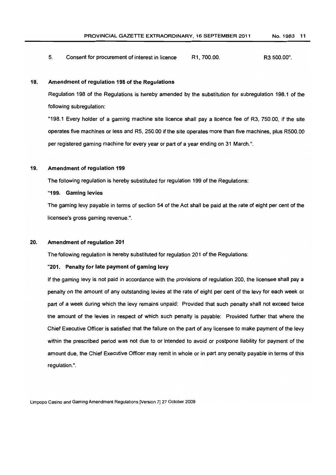5. Consent for procurement of interest in licence R1,700.00. R3500.00".

#### 18. Amendment of regulation 198 of the Regulations

Regulation 198 of the Regulations is hereby amended by the substitution for subregulation 198.1 of the following subregulation:

"198.1 Every holder of a gaming machine site licence shall pay a licence fee of R3, 750.00, if the site operates five machines or less and R5, 250.00 if the site operates more than five machines, plus R500.00 per registered gaming machine for every year or part of a year ending on 31 March.".

#### 19. Amendment of regulation 199

The following regulation is hereby substituted for regulation 199 of the Regulations:

"199. Gaming levies

The gaming levy payable in terms of section 54 of the Act shall be paid at the rate of eight per cent of the licensee's gross gaming revenue.".

#### 20. Amendment of regulation 201

The following regulation is hereby substituted for regulation 201 of the Regulations:

### "201. Penalty for late payment of gaming levy

If the gaming levy is not paid in accordance with the provisions of regulation 200, the licensee shall pay a penalty on the amount of any outstanding levies at the rate of eight per cent of the levy for each week or part of a week during which the levy remains unpaid: Provided that such penalty shall not exceed twice the amount of the levies in respect of which such penalty is payable: Provided further that where the Chief Executive Officer is satisfied that the failure on the part of any licensee to make payment of the levy within the prescribed period was not due to or intended to avoid or postpone liability for payment of the amount due, the Chief Executive Officer may remit in whole or in part any penalty payable in terms of this regulation. ".

Limpopo Casino and Gaming Amendment Regulations [Version 7] 27 October 2009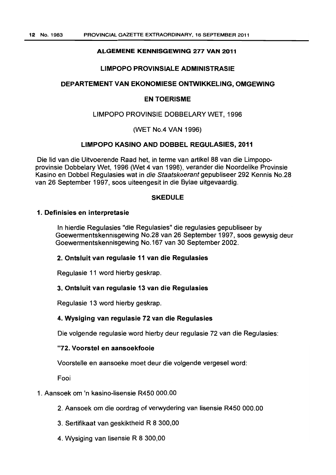# ALGEMENE KENNISGEWING 277 VAN 2011

# LIMPOPO PROVINSIAlE ADMINISTRASIE

# DEPARTEMENT VAN EKONOMIESE ONTWIKKELING, OMGEWING

# EN TOERISME

# LIMPOPO PROVINSIE DOBBELARY WET, 1996

# (WET No.4 VAN 1996)

# liMPOPO KASINO AND DOBBEl REGUlASIES, 2011

Die lid van die Uitvoerende Raad het, in terme van artikel 88 van die Limpopoprovinsie Dobbelary Wet, 1996 (Wet 4 van 1996), verander die Noordelike Provinsie Kasino en Dobbel Regulasies wat in die Staatskoerant gepubliseer 292 Kennis No.28 van 26 September 1997, soos uiteengesit in die Bylae uitgevaardig.

# **SKEDULE**

# 1. Definisies en interpretasie

In hierdie Regulasies "die Regulasies" die regulasies gepubliseer by Goewermentskennisgewing No.28 van 26 September 1997, soos gewysig deur Goewermentskennisgewing No.167 van 30 September 2002.

# 2. Ontsluit van regulasie 11 van die Regulasies

Regulasie 11 word hierby geskrap.

# 3. Ontsluit van regulasie 13 van die Regulasies

Regulasie 13 word hierby geskrap.

# 4. Wysiging van regulasie 72 van die Regulasies

Die volgende regulasie word hierby deur regulasie 72 van die Regulasies:

# "72. Voorstel en aansoekfooie

Voorstelle en aansoeke moet deur die volgende vergesel word:

Fooi

# 1. Aansoek om 'n kasino-lisensie R450 000.00

- 2. Aansoek om die oordrag of verwydering van lisensie R450 000.00
- 3. Sertifikaat van geskiktheid R 8 300,00
- 4. Wysiging van lisensie R 8 300,00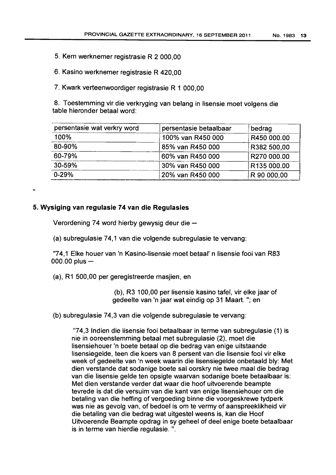- 5. Kern werknemer registrasie R 2 000,00
- 6. Kasino werknemer registrasie R 420,00
- 7. Kwark verteenwoordiger registrasie R 1 000,00

8. Toestemming vir die verkryging van belang in lisensie moet volgens die table hieronder betaal word:

| persentasie wat verkry word | persentasie betaalbaar | bedrag      |
|-----------------------------|------------------------|-------------|
| 100%                        | 100% van R450 000      | R450 000.00 |
| 80-90%                      | 85% van R450 000       | R382 500,00 |
| 60-79%                      | 60% van R450 000       | R270 000.00 |
| 30-59%                      | 30% van R450 000       | R135 000.00 |
| $0 - 29%$                   | 20% van R450 000       | R 90 000,00 |

"

# 5. **Wysiging** van **regulasie 74** van **die Regulasies**

Verordening 74 word hierby gewysig deur die -

(a) subregulasie 74,1 van die volgende subregulasie te vervang:

"74,1 Elke houer van 'n Kasino-lisensie moet betaal' n lisensie fooi van R83  $000.00$  plus  $-$ 

(a), R1 500,00 per geregistreerde masjien, en

(b), R3 100,00 per lisensie kasino tafel, vir elke jaar of gedeelte van 'n jaar wat eindig op 31 Maart. "; en

(b) subregulasie 74,3 van die volgende subregulasie te vervang:

"74,3 Indien die lisensie fooi betaalbaar in terme van subregulasie (1) is nie in ooreenstemming betaal met subregulasie (2), moet die lisensiehouer 'n boete betaal op die bedrag van enige uitstaande lisensiegelde, teen die koers van 8 persent van die lisensie fooi vir elke week of gedeelte van 'n week waarin die lisensiegelde onbetaald bly: Met dien verstande dat sodanige boete sal oorskry nie twee maal die bedrag van die lisensie gelde ten opsigte waarvan sodanige boete betaalbaar is: Met dien verstande verder dat waar die hoof uitvoerende beampte tevrede is dat die versuim van die kant van enige lisensiehouer om die betaling van die heffing of vergoeding binne die voorgeskrewe tydperk was nie as gevolg van, of bedoel is om te vermy of aanspreeklikheid vir die betaling van die bedrag wat uitgestel weens is, kan die Hoof Uitvoerende Beampte opdrag in sy geheel of deel enige boete betaalbaar is in terme van hierdie regulasie. ".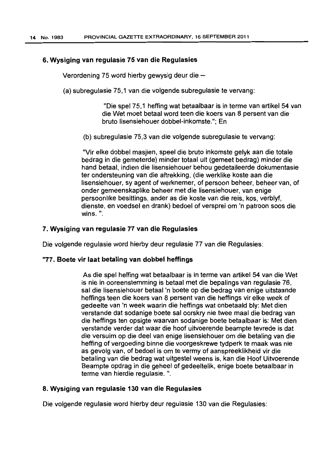# 6. Wysiging van regulasie 75 van die Regulasies

Verordening 75 word hierby gewysig deur die  $-$ 

(a) subregulasie 75,1 van die volgende subregulasie te vervang:

"Die spel 75,1 hefting wat betaalbaar is in terme van artikel 54 van die Wet moet betaal word teen die koers van 8 persent van die bruto lisensiehouer dobbel-inkomste,"; En

(b) subregulasie 75,3 van die volgende subregulasie te vervang:

"Vir elke dobbel masjien, speel die bruto inkomste gelyk aan die totale bedrag in die gemeterde) minder totaal uit (gemeet bedrag) minder die hand betaal, indien die lisensiehouer behou gedetaileerde dokumentasie ter ondersteuning van die aftrekking, (die werklike koste aan die lisensiehouer, sy agent of werknemer, of persoon beheer, beheer van, of onder gemeenskaplike beheer met die lisensiehouer, van enige persoonlike besittings, ander as die koste van die reis, kos, verblyf, dienste, en voedsel en drank) bedoel of versprei om 'n patroon soos die wins. ",

# 7. Wysiging van regulasie 77 van die Regulasies

Die volgende regulasie word hierby deur regulasie 77 van die Regulasies:

# "77. Boete vir laat betaling van dobbel heffings

As die spel hefting wat betaalbaar is in terme van artikel 54 van die Wet is nie in ooreenstemming is betaal met die bepalings van regulasie 76. sal die lisensiehouer betaal 'n boete op die bedrag van enige uitstaande heffings teen die koers van 8 persent van die heftings vir elke week of gedeelte van 'n week waarin die heftings wat onbetaald bly: Met dien verstande dat sodanige boete sal oorskry nie twee maal die bedrag van die heftings ten opsigte waarvan sodanige boete betaalbaar is: Met dien verstande verder dat waar die hoof uitvoerende beampte tevrede is dal die versuim op die deel van enige lisensiehouer om die betaling van die hefting of vergoeding binne die voorgeskrewe tydperk te maak was nie as gevolg van, of bedoel is om te vermy of aanspreeklikheid vir die betaling van die bedrag wat uitgestel weens is. kan die Hoof Uitvoerende Beampte opdrag in die geheel of gedeeltelik, enige boete betaalbaar in terme van hierdie regulasie. ",

# 8. Wysiging van regulasie 130 van die Regulasies

Die volgende regulasie word hierby deur regulasie 130 van die Regulasies: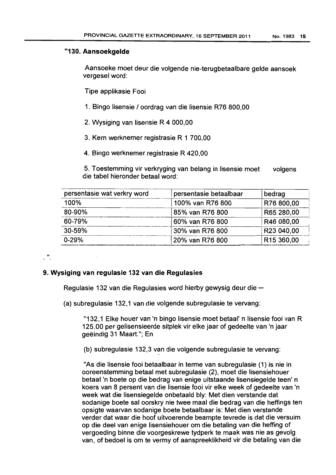# "130. Aansoekgelde

Aansoeke moet deur die volgende nie-terugbetaalbare gelde aansoek vergesel word:

Tipe applikasie Fooi

- 1. Bingo lisensie I oordrag van die lisensie R76 aoo,oo
- 2. Wysiging van lisensie R 4000,00
- 3. Kern werknemer registrasie R 1 700,00
- 4. Bingo werknemer registrasie R 420,00

5. Toestemming vir verkryging van belang in lisensie moet die tabel hieronder betaal word: volgens

| persentasie wat verkry word | persentasie betaalbaar | bedrag                 |
|-----------------------------|------------------------|------------------------|
| 100%                        | 100% van R76 800       | R76 800,00             |
| 80-90%                      | 85% van R76 800        | R65 280,00             |
| 60-79%                      | 60% van R76 800        | R46 080,00             |
| 30-59%                      | 30% van R76 800        | R23 040,00             |
| $0 - 29%$                   | 20% van R76 800        | R <sub>15</sub> 360,00 |

# 9. Wysiging van regulasie 132 van die Regulasies

 $\cdot$ ".

Regulasie 132 van die Regulasies word hierby gewysig deur die -

(a) subregulasie 132,1 van die volgende subregulasie te vervang:

"132,1 Elke houer van 'n bingo lisensie moet betaal' n lisensie fooi van R 125.00 per gelisensieerde sitplek vir elke jaar of gedeelte van 'n jaar geeindig 31 Maart."; En

(b) subregulasie 132,3 van die volgende subregulasie te vervang:

"As die lisensie fooi betaalbaar in terme van subregulasie (1) is nie in ooreenstemming betaal met subregulasie (2), moet die lisensiehouer betaal 'n boete op die bedrag van enige uitstaande lisensiegelde teen' n koers van 8 persent van die lisensie fooi vir elke week of gedeelte van 'n week wat die lisensiegelde onbetaald bly: Met dien verstande dat sodanige boete sal oorskry nie twee maal die bedrag van die heffings ten opsigte waarvan sodanige boete betaalbaar is: Met dien verstande verder dat waar die hoof uitvoerende beampte tevrede is dat die versuim op die deel van enige lisensiehouer om die betaling van die hefting of vergoeding binne die voorgeskrewe tydperk te maak was nie as gevolg van, of bedoel is om te vermy of aanspreeklikheid vir die betaling van die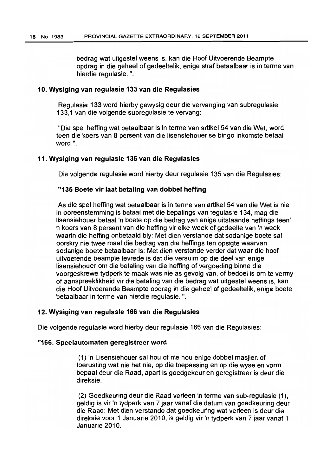bedrag wat uitgestel weens is, kan die Hoof Uitvoerende Beampte opdrag in die geheel of gedeeltelik, enige straf betaalbaar is in terme van hierdie regulasie. ".

# 10. Wysiging van regulasie 133 van die Regulasies

Regulasie 133 word hierby gewysig deur die vervanging van subregulasie 133.1 van die volgende subregulasie te vervang:

"Die spel hefting wat betaalbaar is in terme van artikel54 van die Wet. word teen die koers van 8 persent van die lisensiehouer se bingo inkomste betaal word.".

# 11. Wysiging van regulasie 135 van die Regulasies

Die volgende regulasie word hierby deur regulasie 135 van die Regulasies:

# "135 Boete vir laat betaling van dobbel heffing

As die spel hefting wat betaalbaar is in terme van artikel 54 van die Wet is nie in ooreenstemming is betaal met die bepalings van regulasie 134, mag die lisensiehouer betaal'n boete op die bedrag van enige uitstaande heftings teen' n koers van 8 persent van die hefting vir elke week of gedeelte van 'n week waarin die hefting onbetaald bly: Met dien verstande dat sodanige boete sal oorskry nie twee maal die bedrag van die heftings ten opsigte waarvan sodanige boete betaalbaar is: Met dien verstande verder dat waar die hoof uitvoerende beampte tevrede is dat die versuim op die deel van enige lisensiehouer om die betaling van die hefting of vergoeding binne die voorgeskrewe tydperk te maak was nie as gevolg van, of bedoel is om te vermy of aanspreeklikheid vir die betaling van die bedrag wat uitgestel weens is, kan die Hoof Uitvoerende Beampte opdrag in die geheel of gedeeltelik, enige boete betaalbaar in terme van hierdie regulasie. ".

# 12. Wysiging van regulasie 166 van die Regulasies

Die volgende regulasie word hierby deur regulasie 166 van die Regulasies:

# "166. Speelautomaten geregistreer word

(1) 'n Lisensiehouer sal hou of nie hou enige dobbel masjien of toerusting wat nie het nie, op die toepassing en op die wyse en vorm bepaal deur die Raad, apart is goedgekeur en geregistreer is deur die direksie.

(2) Goedkeuring deur die Raad verleen in terme van sub-regulasie (1), geldig is vir 'n tydperk van 7 jaar vanaf die datum van goedkeuring deur die Raad: Met dien verstande dat goedkeuring wat verleen is deur die direksie voor 1 Januarie 2010, is geldig vir 'n tydperk van 7 jaar vanaf 1 Januarie 2010.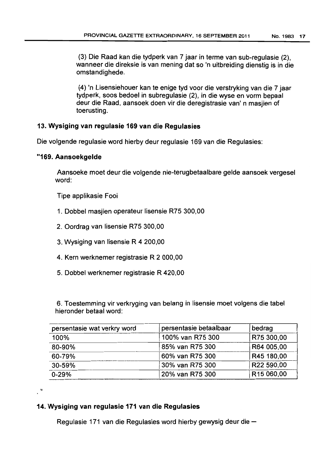(3) Die Raad kan die tydperk van 7 jaar in terme van sub-regulasie (2), wanneer die direksie is van mening dat so 'n uitbreiding dienstig is in die omstandighede.

(4) 'n Lisensiehouer kan te enige tyd voor die verstryking van die 7 jaar tydperk, soos bedoel in subregulasie (2), in die wyse en vorm bepaal deur die Raad, aansoek doen vir die deregistrasie van' n masjien of toerusting.

# 13. Wysiging van regulasie 169 van die Regulasies

Die volgende regulasie word hierby deur regulasie 169 van die Regulasies:

# "169. Aansoekgelde

..

Aansoeke moet deur die volgende nie-terugbetaalbare gelde aansoek vergesel word:

Tipe applikasie Fooi

- 1. Dobbel masjien operateur lisensie R75 300,00
- 2. Oordrag van lisensie R75 300,00
- 3. Wysiging van lisensie R 4200,00
- 4. Kern werknemer registrasie R 2000,00
- 5. Dobbel werknemer registrasie R 420,00

6. Toestemming vir verkryging van belang in lisensie moet volgens die tabel hieronder betaal word:

| persentasie wat verkry word | persentasie betaalbaar | bedrag     |
|-----------------------------|------------------------|------------|
| 100%                        | 100% van R75 300       | R75 300,00 |
| 80-90%                      | 85% van R75 300        | R64 005,00 |
| 60-79%                      | 60% van R75 300        | R45 180,00 |
| 30-59%                      | 30% van R75 300        | R22 590,00 |
| $0 - 29%$                   | 20% van R75 300        | R15 060,00 |

# 14. Wysiging van regulasie 171 van die Regulasies

Regulasie 171 van die Regulasies word hierby gewysig deur die -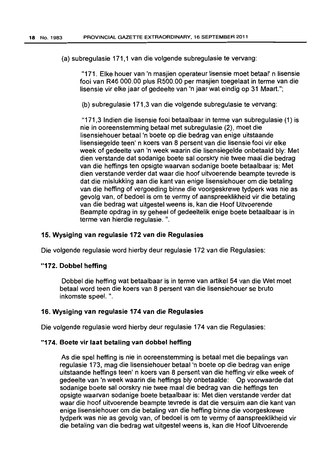(a) subregulasie 171,1 van die volgende subregulasie te vervang:

11171. Elke houer van 'n masjien operateur lisensie moet betaal' n lisensie fooi van R46 000.00 plus R500.00 per masjien toegelaat in terme van die lisensie vir elke jaar of gedeelte van 'n jaar wat eindig op 31 Maart.";

(b) subregulasie 171,3 van die volgende subregulasie te vervang:

"171,3 Indien die lisensie fooi betaalbaar in terme van subregulasie (1) is nie in ooreenstemming betaal met subregulasie (2), moet die lisensiehouer betaal 'n boete op die bedrag van enige uitstaande lisensiegelde teen' n koers van 8 persent van die lisensie fooi vir elke week of gedeelte van 'n week waarin die lisensiegelde onbetaald bly: Met dien verstande dat sodanige boete sal oorskry nie twee maal die bedrag van die heffings ten opsigte waarvan sodanige boete betaalbaar is: Met dien verstande verder dat waar die hoof uitvoerende beampte tevrede is dat die mislukking aan die kant van enige lisensiehouer om die betaling van die heffing of vergoeding binne die voorgeskrewe tydperk was nie as gevolg van, of bedoel is om te vermy of aanspreeklikheid vir die betaling van die bedrag wat uitgestel weens is, kan die Hoof Uitvoerende Beampte opdrag in sy geheel of gedeeltelik enige boete betaalbaar is in terme van hierdie regulasie. ".

# 15. Wysiging van regulasie 172 van die Regulasies

Die volgende regulasie word hierby deur regulasie 172 van die Regulasies:

# "172. Dobbel heffing

Dobbel die heffing wat betaalbaar is in terme van artikel 54 van die Wet moet betaal word teen die koers van 8 persent van die lisensiehouer se bruto inkomste speel. ".

# 16. Wysiging van regulasie 174 van die Regulasies

Die volgende regulasie word hierby deur regulasie 174 van die Regulasies:

# "174. Boete vir laat betaling van dobbel hefting

As die spel heffing is nie in ooreenstemming is betaal met die bepalings van regulasie 173, mag die lisensiehouer betaal 'n boete op die bedrag van enige uitstaande heffings teen' n koers van 8 persent van die heffing vir elke week of gedeelte van 'n week waarin die heffings bly onbetaalde: Op voorwaarde dat sodanige boete sal oorskry nie twee maat die bedrag van die heffings ten opsigte waarvan sodanige boete betaalbaar is: Met dien verstande verder dat waar die hoof uitvoerende beampte tevrede is dat die versuim aan die kant van enige lisensiehouer om die betaling van die heffing binne die voorgeskrewe tydperk was nie as gevolg van, of bedoel is om te vermy of aanspreeklikheid vir die betaling van die bedrag wat uitgestel weens is, kan die Hoof Uitvoerende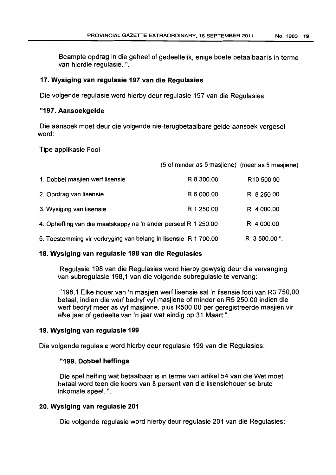Beampte opdrag in die geheel of gedeeltelik, enige boete betaalbaar is in terme van hierdie regulasie. ".

# 17. Wysiging van regulasie 197 van die Regulasies

Die volgende regulasie word hierby deur regulasie 197 van die Regulasies:

# "197. Aansoekgelde

Die aansoek moet deur die volgende nie-terugbetaalbare gelde aansoek vergesel word:

Tipe applikasie Fooi

(5 of minder as 5 masjiene) (meer as 5 masjiene)

| 1. Dobbel masjien werf lisensie                                 | R 8 300.00 | R <sub>10</sub> 500.00 |
|-----------------------------------------------------------------|------------|------------------------|
| 2. Oordrag van lisensie                                         | R 6 000.00 | R 8 250.00             |
| 3. Wysiging van lisensie                                        | R 1 250.00 | R 4 000.00             |
| 4. Opheffing van die maatskappy na 'n ander perseel R 1 250.00  |            | R 4 000.00             |
| 5. Toestemming vir verkryging van belang in lisensie R 1 700.00 |            | R 3 500.00".           |

# 18. Wysiging van regulasie 198 van die Regulasies

Regulasie 198 van die Regulasies word hierby gewysig deur die vervanging van subregulasie 198,1 van die volgende subregulasie te vervang:

"198,1 Elke houer van 'n masjien wert lisensie sal 'n lisensie fooi van R3 750,00 betaal, indien die wert bedryf vyf masjiene of minder en R5 250.00 indien die wert bedryf meer as vyf masjiene. plus R500.00 per geregistreerde masjien vir elke jaar of gedeelte van 'n jaar wat eindig op 31 Maart.".

# 19. Wysiging van regulasie 199

Die volgende regulasie word hierby deur regulasie 199 van die Regulasies:

# "199. Dobbel heffings

Die spel heffing wat betaalbaar is in terme van artikel 54 van die Wet moet betaal word teen die koers van 8 persent van die lisensichouer se bruto inkomste spee!. ".

# 20. Wysiging van regulasie 201

Die volgende regulasie word hierby deur regulasie 201 van die Regulasies: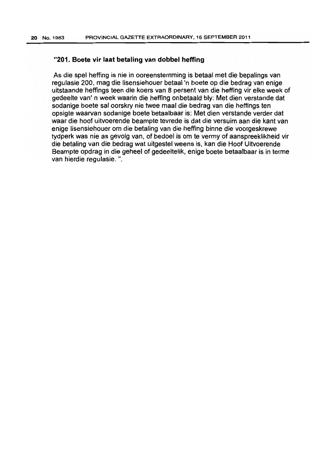# "201. Boete vir laat betaling van dobbel heffing

As die spel heffing is nie in ooreenstemming is betaal met die bepalings van regulasie 200. mag die lisensiehouer betaal'n boete op die bedrag van enige uitstaande heffings teen die koers van 8 persent van die heffing vir elke week of gedeelte van' n week waarin die heffing onbetaald bly: Met dien verstande dat sodanige boete sal oorskry nie twee maal die bedrag van die heffings ten opsigte waarvan sodanige boete betaalbaar is: Met dien verstande verder dat waar die hoof uitvoerende beampte tevrede is dat die versuim aan die kant van enige Iisensiehouer om die betating van die heffing binne die voorgeskrewe tydperk was nie as gevolg van, of bedoel is om te vermy of aanspreeklikheid vir die betaling van die bedrag wat uitgestel weens is, kan die Hoof Uitvoerende Beampte opdrag in die geheel of gedeeltelik, enige boete betaalbaar is in terme van hierdie regulasie. ".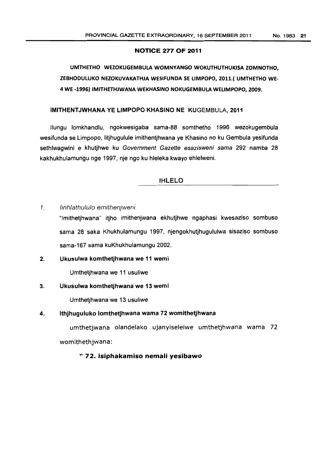### NOTICE 277 OF 2011

# UMTHETHO WeZOKUGEMBULA WOMNYANGO WOKUTHUTHUKISA ZOMNOTHO, ZEBHOOULUKO NEZOKUVAKATHJA WESIFUNDA se LIMPOPO, 2011.( UMTHETHO WE-4 WE -1996) 'MITHETHJWANA WEKHAS'NO NOKUGEMBULA WELIMPOPO, 2009.

# IMITHENTJWHANA YE LIMPOPO KHASINO NE KUGEMBULA,2011

IIungu lomkhandlu, ngokwesigaba sama-88 somthetho 1996 wezokugembula wesifunda se Limpopo, litjhugulule imithentjhwana ye Khasino no ku Gembula yesifunda sethlwagwini e khutjhwe ku Government Gazette esazisweni sama 292 namba 28 kakhukhulamungu nge 1997, nje ngo ku hleleka kwayo ehlelweni.

# IHLELO

1. linhlathululo emitheniweni

"Imithetjhwana" itjho imithenjwana ekhutjhwe ngaphasi kwesaziso sombuso sarna 28 saka Khukhulamungu 1997, njengokhutjhugululwa sisaziso sombuso sama-167 sama kuKhukhulamungu 2002.

2. Ukusulwa komthetjhwana we 11 wemi

Umthetjhwana we 11 usuliwe

# 3. Ukusulwa komthetjhwana we 13 wemi

Umthetjhwana we 13 usuliwe

# 4. Ithjhuguluko lomthetjhwana wama 72 womithetjhwana

umthetjwana olandelako ujanyiselelwe umthetjhwana wama 72 womithethjwana:

# " 72. iSiphakamiso nemali yesibawo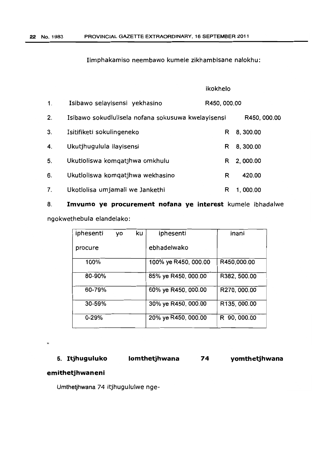Iimphakamiso neembawo kumele zikhambisane nalokhu:

|               |                                                    | ikokhelo     |              |
|---------------|----------------------------------------------------|--------------|--------------|
| $\mathbf 1$ . | Isibawo selayisensi yekhasino                      | R450, 000.00 |              |
| 2.            | Isibawo sokudlulisela nofana sokusuwa kwelayisensi |              | R450, 000.00 |
| 3.            | Isitifiketi sokulingeneko                          | R            | 8,300.00     |
| 4.            | Ukutjhugulula ilayisensi                           | R            | 8, 300.00    |
| 5.            | Ukutloliswa komqatjhwa omkhulu                     | R            | 2,000.00     |
| 6.            | Ukutloliswa komgatjhwa wekhasino                   | R            | 420.00       |
| 7.            | Ukotlolisa umjamali we Jankethi                    | R            | 1,000.00     |

8. **Imvumo ye procurement nofana ye interest** kumele ibhadalwe

ngokwethebula elandelako:

| iphesenti | VO | ku | iphesenti            | inani        |
|-----------|----|----|----------------------|--------------|
| procure   |    |    | ebhadelwako          |              |
| 100%      |    |    | 100% ye R450, 000.00 | R450,000.00  |
| 80-90%    |    |    | 85% ye R450, 000.00  | R382, 500.00 |
| 60-79%    |    |    | 60% ye R450, 000.00  | R270, 000.00 |
| 30-59%    |    |    | 30% ye R450, 000.00  | R135, 000.00 |
| $0 - 29%$ |    |    | 20% ye R450, 000.00  | R 90, 000.00 |

5. **Itjhuguluko lomthetjhwana 74**  **yomthetjhwana** 

# **emithetjhwaneni**

 $\mathbf{u}$ 

Umthetjhwana 74 itjhugululwe nge-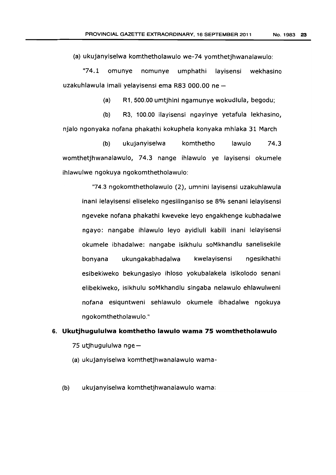(a) ukujanyiselwa komthetholawulo we-74 yomthetjhwanalawulo:

"74.1 omunye nomunye umphathi layisensi wekhasino uzakuhlawula imali yelayisensi ema R83 000.00 ne-

(a) R1, 500.00 umtjhini ngamunye wokudlula, begodu;

(b) R3, 100.00 ilayisensi ngayinye yetafula lekhasino, njalo ngonyaka nofana phakathi kokuphela konyaka mhlaka 31 March

(b) ukujanyiselwa komthetho lawulo 74.3 womthetjhwanalawulo, 74.3 nange ihlawulo ye layisensi okumele ihlawulwe ngokuya ngokomthetholawulo:

"74.3 ngokomthetholawulo (2), umnini layisensi uzakuhlawula inani lelayisensi eliseleko ngesilinganiso se 8% senani lelayisensi ngeveke nofana phakathi kweveke leyo engakhenge kubhadalwe ngayo: nangabe ihlawulo leyo ayidluli kabili inani lelayisens; okumele ibhadalwe: nangabe isikhulu soMkhandlu sanelisekile bonyana ukungakabhadalwa kwelayisensi ngesikhathi esibekiweko bekungasiyo ihloso yokubalakela isikolodo senani elibekiweko, islkhulu soMkhandlu singaba nelawulo ehlawulweni nofana esiquntweni sehlawulo okumele ibhadalwe ngokuya ngokomthetholawulo."

# 6. **Ukutjhugululwa komthetho lawulo wama 75 womthetholawulo**  75 utjhugululwa nge-

(a) ukujanyiselwa komthetjhwanalawulo wama-

(b) ukujanyiselwa komthetjhwanalawulo wama: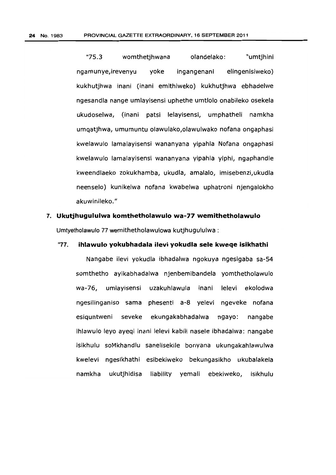"75.3 womthetjhwana olandelako: "umtjhini ngamunye,irevenyu yoke ingangenani elingenisiweko) kukhutjhwa inani (inani emithiweko) kukhutjhwa ebhadelwe ngesandla nange umlayisensi uphethe umtlolo onabileko osekela ukudoselwa, (inani patsi lelayisensi, umphatheli namkha umqatjhwa, umumuntu olawulako,olawulwako nofana ongaphasi kwelawulo lamalayisensi wananyana yipahla Nofana ongaphasi kwelawulo lamalayisensi wananyana yipahla yiphi, ngaphandle kweendlaeko zokukhamba, ukudla, amalalo, imisebenzi,ukudla neenselo) kunikelwa nofana kwabelwa uphatroni njengalokho akuwinileko. "

# **7. Ukutjhugululwa komthetholawulo wa-77 wemithetholawulo**  Umtyetholawulo 77 wemithetholawulowa kutjhugululwa :

# "77. **ihlawulo yokubhadala ilevi yokudla sele kweqe isikhathi**

Nangabe ilevi yokudla ibhadalwa ngokuya ngesigaba sa-54 somthetho ayikabhadalwa njenbemibandela yomthetholawulo wa-76, umlayisensi uzakuhlawula inani lelevi ekolodwa ngesilinganiso sama phesenti a-8 yelevi ngeveke nofana esiquntweni seveke ekungakabhadalwa ngayo: nangabe ihlawulo leyo ayegi inani lelevi kabili nasele ibhadalwa: nangabe isikhulu soMkhandlu sanelisekile bonyana ukungakahlawulwa kwelevi ngesikhathi esibekiweko bekungasikho ukubalakela namkha ukutjhidisa liability yemali ebekiweko, isikhulu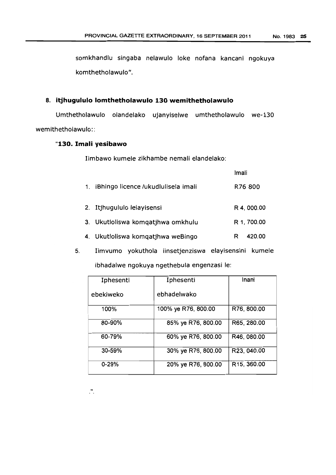somkhandlu singaba nelawulo loke nofana kancani ngokuya komthetholawulo".

# 8. **itjhugululo lomthetholawulo 130 wemithetholawulo**

Umthetholawulo olandelako ujanyiselwe umthetholawulo we-130 wemithetholawulo::

# **"130. Imali yesibawo**

Iimbawo kumele zikhambe nemali elandelako:

|                                        | Imali       |
|----------------------------------------|-------------|
| 1. iBhingo licence /ukudlulisela imali | R76 800     |
| 2. Itjhugululo lelayisensi             | R 4, 000.00 |
| 3. Ukutloliswa komqatjhwa omkhulu      | R 1, 700.00 |
| 4. Ukutloliswa komqatjhwa weBingo      | 420.00<br>R |

5. Iimvumo yokuthola iinsetjenziswa elayisensini kumele ibhadalwe ngokuya ngethebula engenzasi Ie:

| Iphesenti | Iphesenti           | Inani       |
|-----------|---------------------|-------------|
| ebekiweko | ebhadelwako         |             |
| 100%      | 100% ye R76, 800.00 | R76, 800.00 |
| 80-90%    | 85% ye R76, 800.00  | R65, 280.00 |
| 60-79%    | 60% ye R76, 800.00  | R46, 080.00 |
| 30-59%    | 30% ye R76, 800.00  | R23, 040.00 |
| $0 - 29%$ | 20% ye R76, 800.00  | R15, 360.00 |

"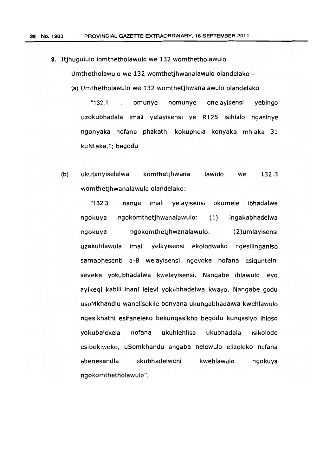9. Itihugululo lomthetholawulo we 132 womthetholawulo

Umthetholawulo we 132 womthetjhwanalawulo olandelako-

(a) Umthetholawulo we 132 womthetjhwanalawulo olandelako:

"132.1 omunye nomunye onelayisensi yebingo uzokubhadala imali yelayisensi ye R125 isihlalo ngasinye ngonyaka nofana phakathi kokuphela konyaka mhlaka 31 kuNtaka."; begodu

(b) ukujanyiselelwa komthetjhwana lawulo we 132.3 womthetjhwanalawulo olandelako:

"132.3 nange imali yelayisensi okumele ibhadalwe ngokuya ngokomthetjhwanalawulo: (1) ingakabhadelwa ngokuya ngokomthetjhwanalawulo. (2)umlayisensi uzakuhlawula imali yelayisensi ekolodwako ngesilinganiso samaphesenti a-8 welayisensi ngeveke nofana esiqunteini seveke yokubhadalwa kwelayisensi. Nangabe ihlawulo leyo ayikeqi kabili inani lelevi yokubhadelwa kwayo. Nangabe godu usoMkhandlu wanelisekile bonyana ukungabhadalwa kwehlawulo ngesikhathi esifaneleko bekungasikho begodu kungasiyo ihloso yokubalekela nofana ukuhlehlisa ukubhadala isikolodo esibekiweko, uSomkhandu angaba nelewulo elizeleko nofana abenesandla ekubhadelweni kwehlawulo ngokuya ngokomthetholawulo".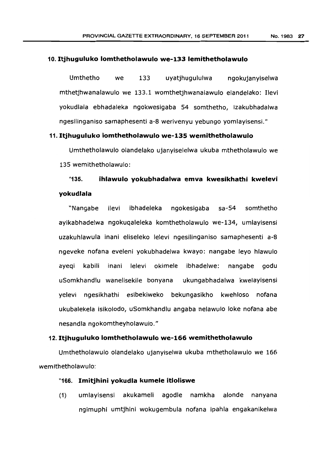### 10. Itjhuguluko lomthetholawulo we-133 lemithetholawulo

Umthetho we 133 uyatjhugululwa ngokujanyiselwa mthetjhwanalawulo we 133.1 womthetjhwanalawulo elandelako: Ilevi yokudlala ebhadaleka ngokwesigaba 54 somthetho, izakubhadalwa ngesilinganiso samaphesenti a-8 werivenyu yebungo yomlayisensi."

# 11. **Itjhuguluko lomthetholawulo we-135 wemithetholawulo**

Umthetholawulo olandelako ujanyiselelwa ukuba mthetholawulo we 135 wemithetholawulo:

# "135. **ihfawulo yokubhadalwa emva kwesikhathi kwelevi yokudlala**

"Nangabe ilevi ibhadeleka ngokesigaba sa-54 somthetho ayikabhadelwa ngokuqaleleka komthetholawulo we-134, umlayisensi uzakuhlawula inani eliseleko lelevi ngesilinganiso samaphesenti a-8 ngeveke nofana eveleni yokubhadelwa kwayo: nangabe leyo hlawulo ayegi kabili inani lelevi okimele ibhadelwe: nangabe godu uSomkhandlu wanelisekile bonyana ukungabhadalwa kwelayisensi yelevi ngesikhathi esibekiweko bekungasikho kwehloso nofana ukubalekela isikolodo, uSomkhandlu angaba nelawulo loke nofana abe nesandla ngokomtheyholawulo."

# **12.ltjhuguluko lomthetholawulo we-166 wemithetholawulo**

Umthetholawulo olandelako ujanyiselwa ukuba mthetholawulo we 166 wemithetholawulo:

# "166. **Imitjhini yokudla kumele itloliswe**

(1) umlayisensi akukameli agodle namkha alonde nanyana ngimuphi umtjhini wokugembula nofana ipahla engakanikelwa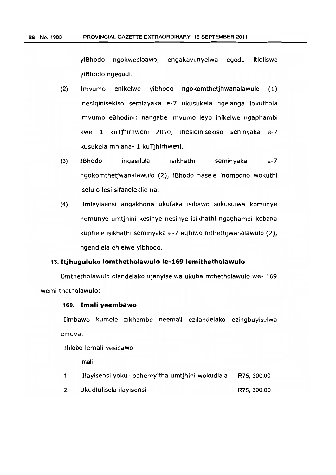yiBhodo ngokwesibawo, engakavunyelwa egodu itloliswe yiBhodo ngeqadi.

- (2) Imvumo enikelwe yibhodo ngokomthetjhwanalawulo (1) inesiqinisekiso seminyaka e-7 ukusukela ngelanga lokuthola imvumo eBhodini: nangabe imvumo leyo inikelwe ngaphambi kwe 1 kuTjhirhweni 2010, inesiqinisekiso seninyaka e-7 kusukela mhlana- 1 kuTjhirhweni.
- (3) IBhodo ingasilula isikhathi seminyaka e-7 ngokomthetjwanalawulo (2), iBhodo nasele inombono wokuthi iselulo lesi sifanelekile na.
- (4) Umlayisensi angakhona ukufaka isibawo sokusulwa komunye nomunye umtjhini kesinye nesinye isikhathi ngaphambi kobana kuphele isikhathi seminyaka e-7 etjhiwo mthethjwanalawulo (2), ngendlela ehlelwe yibhodo.

# 13. **Itjhuguluko lomthetholawulo le-169 lemithetholawulo**

Umthetholawulo olandelako ujanyiselwa ukuba mthetholawulo we- 169 wemi thetholawulo:

# "169. **Imali yeembawo**

Iimbawo kumele zikhambe neemali ezilandelako ezingbuyiselwa emuva:

Ihlobo lemali yesibawo

Imali

- 1. I1ayisensi yoku- ophereyitha umtjhini wokudlala R75, 300.00
- 2. Ukudlulisela ilayisensi R75, 300.00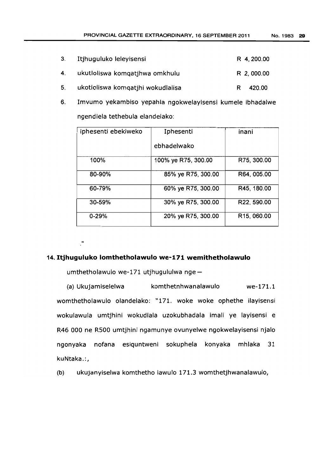| Itjhuguluko leleyisensi           | R 4, 200.00 |
|-----------------------------------|-------------|
| ukutloliswa komgatihwa omkhulu    | R 2, 000.00 |
| ukotloliswa komqatjhi wokudlalisa | 420.00<br>R |

6. Imvumo yekambiso yepahla ngokwelayisensi kumele ibhadalwe ngendlela tethebula elandelako:

| iphesenti ebekiweko | Iphesenti           | inani                    |
|---------------------|---------------------|--------------------------|
|                     | ebhadelwako         |                          |
| 100%                | 100% ye R75, 300.00 | R75, 300.00              |
| 80-90%              | 85% ye R75, 300.00  | R64, 005.00              |
| 60-79%              | 60% ye R75, 300.00  | R45, 180.00              |
| 30-59%              | 30% ye R75, 300.00  | R22, 590.00              |
| $0 - 29%$           | 20% ye R75, 300.00  | R <sub>15</sub> , 060.00 |

"

3.

4.

5.

# 14. **Itjhuguluko lomthetholawulo we-171 wemithetholawulo**

umthetholawulo we-171 utjhugululwa nge-

(a) Ukujamiselelwa komthetnhwanalawulo we-171.1 womthetholawulo olandelako: "171. woke woke ophethe ilayisensi wokulawula umtjhini wokudlala uzokubhadala imali ye layisensi e R46 000 ne RSOO umtjhini ngamunye ovunyelwe ngokwelayisensi njalo ngonyaka nofana esiquntweni sokuphela konyaka mhlaka 31 kuNtaka.:,

(b) ukujanyiselwa komthetho lawulo 171.3 womthetjhwanalawulo,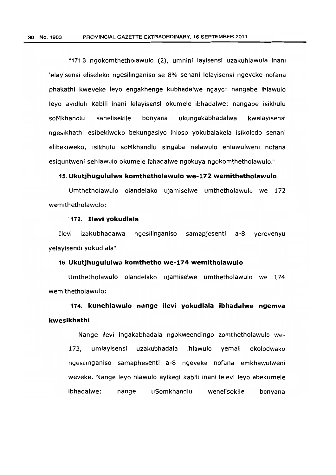"171.3 ngokomthetholawulo (2), umnini layisensi uzakuhlawula inani lelayisensi eliseleko ngesilinganiso se 8% senani lelayisensi ngeveke nofana phakathi kweveke leyo engakhenge kubhadalwe ngayo: nangabe ihlawulo leyo ayidluli kabili inani lelayisensi okumele ibhadalwe: nangabe isikhulu soMkhandlu sanelisekile bonyana ukungakabhadalwa kwelayisensi ngesikhathi esibekiweko bekungasiyo ihloso yokubalakela isikolodo senani elibekiweko, isikhulu soMkhandlu singaba nelawulo ehlawulweni nofana esiquntweni sehlawulo okumele ibhadalwe ngokuya ngokomthetholawulo."

# 15. **Ukutjhugululwa komthetholawulo we-172 wemithetholawulo**

Umthetholawulo olandelako ujamiselwe umthetholawulo we 172 wemithetholawulo:

# "172. **Ilevi yokudlala**

Ilevi izakubhadalwa ngesilinganiso samapjesenti a-8 yerevenyu yelayisendi yokudlala".

### 16. **Ukutjhugululwa komthetho we-174 wemitholawulo**

Umthetholawulo olandelako ujamiselwe umthetholawulo we 174 wemithetholawulo:

"174. **kunehlawulo nange** ilevi **yokudlala ibhadalwe ngemva kwesikhathi** 

Nange ilevi ingakabhadala ngokweendingo zomthetholawulo we-173, umlayisensi uzakubhadala ihlawulo yemali ekolodwako ngesilinganiso samaphesenti a-8 ngeveke nofana emkhawulweni weveke. Nange leyo hlawulo ayikeqi kabili inani lelevi leyo ebekumele ibhadalwe: nange uSomkhandlu wenelisekile bonyana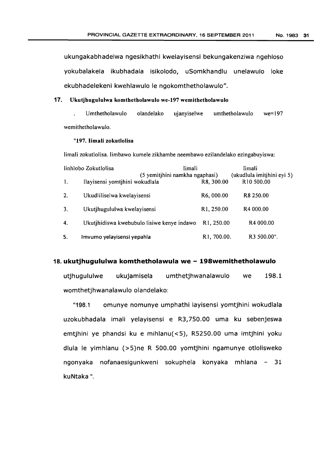ukungakabhadelwa ngesikhathi kwelayisensi bekungakenziwa ngehloso yokubalakela ikubhadala isikolodo, uSomkhandlu unelawulo loke ekubhadelekeni kwehlawulo le ngokomthetholawulo".

# 17. Ukutjhugululwa komthetholawulo we-197 wemithetholawulo

Umthetholawulo olandelako ujanyiselwe umthetholawulo we=197 wemithetholawulo.

# "197. Iimali zokutlolisa

Iimali zokutlolisa. Iimbawo kumele zikhambe neembawo ezilandelako ezingabuyiswa:

|              | linhlobo Zokutlolisa                                             | limali                   | Iimali                                               |
|--------------|------------------------------------------------------------------|--------------------------|------------------------------------------------------|
| -1.          | (5 yemitjhini namkha ngaphasi)<br>Ilayisensi yomtihini wokudlala | R8, 300.00               | (ukudlula imitjhini eyi 5)<br>R <sub>10</sub> 500.00 |
| 2.           | Ukudliliselwa kwelayisensi                                       | R6,000.00                | R <sub>8</sub> 250.00                                |
| 3.           | Ukutihugululwa kwelayisensi                                      | R <sub>1</sub> , 250.00  | R4 000.00                                            |
| $\mathbf{4}$ | Ukutjhidiswa kwebubulo lisiwe kenye indawo                       | R1, 250.00               | R4 000.00                                            |
| 5.           | Imvumo yelayisensi yepahla                                       | R <sub>1</sub> , 700.00. | R3 500.00".                                          |

### 18. **ukutjhugululwa komthetholawula we - 198wemithetholawulo**

utjhugululwe ukujamisela umthetjhwanalawulo we 198.1 womthetjhwanalawulo olandelako:

"198.1 omunye nomunye umphathi layisensi yomtjhini wokudlala uzokubhadala imali yelayisensi e R3,750.00 uma ku sebenjeswa emtjhini ye phandsi ku e mihlanu(<5), R5250.00 uma imtjhini yoku dlula Ie yimhlanu (>5)ne R 500.00 yomtjhini ngamunye otlolisweko ngonyaka nofanaesigunkweni sokuphela konyaka mhlana 31 kuNtaka ".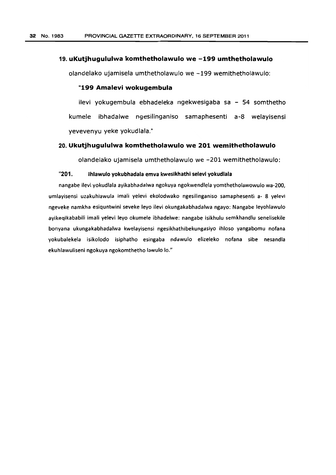### 19. uKutjhugululwa komthetholawulo we -199 umthetholawulo

olandelako ujamisela umthetholawulo we -199 wemithetholawulo:

# "199 Amalevi wokugembula

ilevi yokugembula ebhadeleka ngekwesigaba sa - 54 somthetho kumele ibhadalwe ngesilinganiso samaphesenti a-8 welayisensi yevevenyu yeke yokudlala."

# 20. Ukutjhugululwa komthetholawulo we 201 wemithetholawulo

olandelako ujamisela umthetholawulo we -201 wemithetholawulo:

# "201. Ihlawulo yokubhadala emva kwesikhathi selevi yokudlala

nangabe ilevi yokudlala avikabhadalwa ngokuya ngokwendlela yomthetholawowulo wa-200, umlayisensi uzakuhlawula imali yelevi ekolodwako ngesilinganiso samaphesenti a- 8 yelevi ngeveke namkha esiquntwini seveke levo ilevi okungakabhadalwa ngayo: Nangabe leyohlawulo ayikeqikababili imali yelevi leyo okumele ibhadelwe: nangabe isikhulu semkhandlu senelisekile bonyana ukungakabhadalwa kwelayisensi ngesikhathibekungasiyo ihloso yangabomu nofana yokubalekela isikolodo isiphatho esingaba ndawulo elizeleko nofana sibe nesandla ekuhlawuliseni ngokuya ngokomthetho lawulo lo."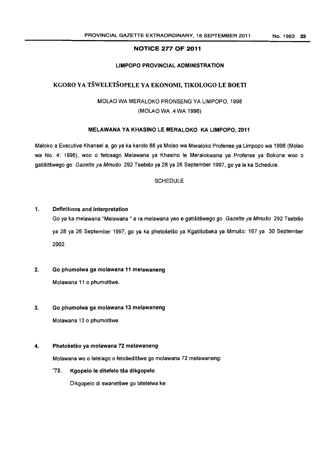## NOTICE 277 OF 2011

# LIMPOPO PROVINCIAL ADMINISTRATION

# KGORO YA TŠWELETŠOPELE YA EKONOMI, TIKOLOGO LE BOETI

MOLAO WA MERALOKO PRONSENG YA LIMPOPO, 1996 (MOLAO WA .4 WA 1996)

### MELAWANA YA KHASINO LE MERALOKO KA LIMPOPO, 2011

Maloko a Executive Khansel a, go ya ka karolo 88 ya Molao wa Meraloko Profense ya Limpopo wa 1996 (Molao wa NO.4: 1996), woo 0 fetosago Melawana ya Khasino Ie Meralokwana ya Profense ya Bokone woo 0 gatišitšwego go Gazette ya Mmušo 292 Tsebišo ya 28 ya 26 September 1997, go ya le ka Schedule.

### **SCHEDULE**

### 1. Definitions and Interpretation

Go ya ka melawana "Melawana " e ra melawana yeo e gatišitšwego go Gazette ya Mmušo 292 Tsebišo ya 28 ya 26 September 1997, go ya ka phetosetso ya Kgatisobaka ya Mmuso: 167 ya 30 September 2002.

# 2. Go phumolwa ga molawana 11 melawaneng

Molawana 11 o phumotšwe.

### 3. Go phumolwa ga molawana 13 melawaneng

Molawana 13 o phumotšwe.

### 4. Phetošetšo ya molawana 72 melawaneng

Molawana wo o latelago o fetošeditšwe go molawana 72 melawaneng:

# "72. Kgopelo le ditefelo tša dikgopelo

Dikgopelo di swanetšwe go latelelwa ke: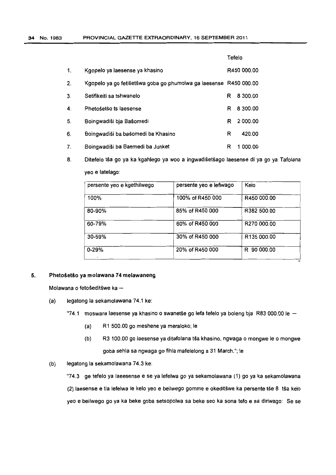|    |                                                                   | Tefelo |             |  |
|----|-------------------------------------------------------------------|--------|-------------|--|
| 1. | Kgopelo ya laesense ya khasino                                    |        | R450 000.00 |  |
| 2. | Kgopelo ya go fetišetšwa goba go phumolwa ga laesense R450 000.00 |        |             |  |
| 3. | Setifikeiti sa tshwanelo                                          | R      | 8 300.00    |  |
| 4. | Phetošetšo ts laesense                                            | R      | 8 300.00    |  |
| 5. | Boingwadiši bja Bašomedi                                          | R      | 2 000.00    |  |
| 6. | Boingwadiši ba bašomedi ba Khasino                                | R      | 420.00      |  |
| 7. | Boingwadiši ba Baemedi ba Junket                                  | R      | 1 000.00    |  |

 $8<sub>1</sub>$ Ditefelo tša go ya ka kgahlego ya woo a ingwadišetšago laesense di ya go ya Tafolana yeo e latelago:

| persente yeo e kgethilwego | persente yeo e lefiwago | Kelo           |
|----------------------------|-------------------------|----------------|
| 100%                       | 100% of R450 000        | R450 000.00    |
| 80-90%                     | 85% of R450 000         | R382 500.00    |
| 60-79%                     | 60% of R450 000         | R270 000.00    |
| 30-59%                     | 30% of R450 000         | R135 000.00    |
| $0 - 29%$                  | 20% of R450 000         | 90 000.00<br>R |

╦

# 5. Phetosetio ya molawana **74** melawaneng

Molawana o fetošeditšwe ka $-$ 

- (a) legatong la sekamolawana 74.1 ke:
	- "74.1 moswara laesense ya khasino o swanetše go lefa tefelo ya boleng bja R83 000.00 le  $-$ 
		- (a) R1 500.00 go meshene ya meraloko; Ie
		- (b) R3 100.00 go laesense ya ditafolana tša khasino, ngwaga o mongwe Ie o mongwe goba sehla sa ngwaga go fihla mafelelong a 31 March."; Ie
- (b) legatong la sekamolawana 74.3 ke:

"74.3 ge tefelo ya laeesense e se ya lefelwa go ya sekamolawana (1) go ya ka sekamolawana (2) laesense e tla lefelwa le kelo yeo e beilwego gomme e okeditšwe ka persente tše 8 tša kelo yeo e beilwego go ya ka beke goba setsopolwa sa beke seo ka sona tefo e sa diriwago: Se se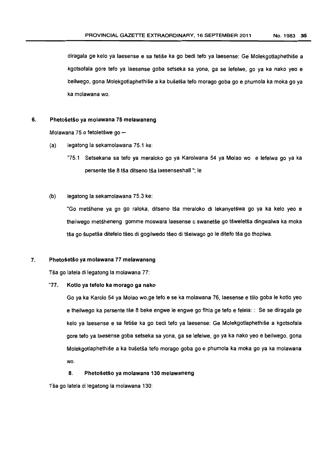diragala ge kelo ya laesense e sa fetiše ka go bedi tefo ya laesense: Ge Molekgotlaphethiše a kgotsotala gore teto ya laesense goba setseka sa yona, ga se letelwe, go ya ka nako yeo e beilwego, gona Molekgotlaphethise a ka busetsa teto morago goba go e phumola ka moka go ya ka molawana wo.

#### 6. Phetošetšo ya molawana 75 melawaneng

Molawana 75 o fetoletšwe go -

- (a) legatong la sekamolawana 75.1 ke:
	- "75.1 Setsekana sa tefo *va* meraloko go *va* Karolwana 54 ya Molao wo e lefelwa go *va* ka persente tše 8 tša ditseno tša laesenseshall "; le
- (b) legatong la sekamolawana 75.3 ke:

"Go metshene *va* go go raloka, ditseno tsa meraloko di lekanyetswa go ya ka kela yeo e theilwego metsheneng gomme moswara laesense 0 swanetse go tsweletsa dingwalwa ka moka tša go šupetša ditefelo tšeo di gogilwedo tšeo di tšeiwago go le ditefo tša go thopiwa.

#### 7. Phetošetšo ya molawana 77 melawaneng

Tša go latela di legatong la molawana 77:

#### "77. Kotlo ya tefelo ka morago ga nako

Go ya ka Karolo 54 ya Molao wo,ge teto e se ka molawana 76, laesense e tlilo goba Ie kotlo yeo e theilwego ka persente tse 8 beke engwe Ie engwe go fihla ge tefo e telela:: Se se diragala ge kelo ya laesense e sa fetise ka go bedi tefo ya laesense: Ge Molekgotlaphethise a kgotsofala gore teto ya laesense goba setseka sa yana, ga se letelwe, go ya ka nako yeo e beilwego, gona Molekgotlaphethise a ka busetsa teto morago goba go e phumola ka moka go ya ka molawana wo.

#### 8. Phetošetšo ya molawana 130 melawaneng

Tša go latela di legatong la molawana 130: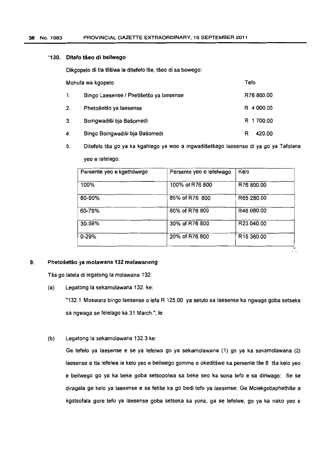### "130. Ditefo tšeo di beilwego

Dikgopelo di tla tlišiwa le ditefelo tše, tšeo di sa bowego:

| Mohuta wa kgopelo |                                         | Tefo        |
|-------------------|-----------------------------------------|-------------|
| 1.                | Bingo Laesense / Phetišetšo ya laesense | R76 800.00  |
| 2.                | Phetošetšo ya laesense                  | R 4 000.00  |
| 3.                | Boingwadiši bja Bašomedi                | R 1700.00   |
| 4.                | Bingo Boingwadiši bja Bašomedi          | 420.00<br>R |

5. Ditefelo tsa go ya ka kgahlego ya woo a ingwadisetsago laesense di ya go ya Tafolana yeo e latelago:

| Persente yeo e kgethilwego | Persente yeo e lefelwago | Kelo                   |
|----------------------------|--------------------------|------------------------|
| 100%                       | 100% of R76 800          | R76 800.00             |
| 80-90%                     | 85% of R76 800           | R65 280.00             |
| 60-79%                     | 60% of R76 800           | R46 080.00             |
| 30-59%                     | 30% of R76 800           | R23 040.00             |
| $0 - 29%$                  | 20% of R76 800           | R <sub>15</sub> 360.00 |

Ξ.

### 9. Phetošetšo ya molawana 132 melawaneng

Tša go latela di legatong la molawana 132:

(a) Legatong la sekamolawana 132. ke:

"132.1 Moswara bingo laesense 0 lefa R 125.00 ya setulo sa laesense ka ngwaga goba setseka sa ngwaga se felelago ka 31 March."; Ie

(b) Legatong la sekamolawana 132.3 ke:

Ge tefelo ya laesense e se ya lefelwa go ya sekamolawana (1) go ya ka sekamolawana (2) laesense e tla lefelwa le kelo yeo e beilwego gomme e okeditšwe ka persente tše 8 tša kelo yeo e beilwego go ya ka beke goba setsopolwa sa beke seo ka sona tefo e sa diriwago: Se se diragala ge kelo ya laesense e sa fetise ka go bedi *teto* ya laesense: Ge Molekgotlaphethise a kgotsofala gore teto ya laesense goba setseka sa yona, ga se lefelwe. go ya ka nako yeo e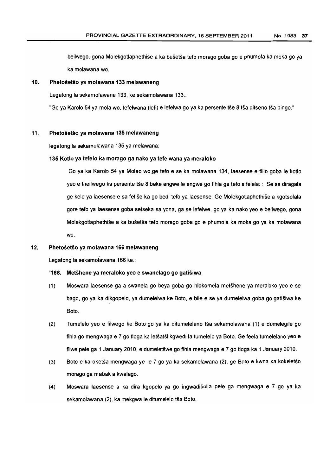beilwego, gona Molekgotlaphethise a ka busetsa tefo morago gaba go e phumola ka maka go ya ka molawana wo.

#### 10. Phetošetšo ya molawana 133 melawaneng

Legatong la sekamolawana 133, ke sekamolawana 133.:

"Go ya Karolo 54 ya mola wo, tefelwana (lefi) e lefelwa go ya ka persente tše 8 tša ditseno tša bingo."

#### 11. Phetošetšo ya molawana 135 melawaneng

legatong la sekamolawana 135 ya melawana:

#### 135 Kotlo ya tefelo ka morago ga nako ya tefelwana ya meraloko

Go ya ka Karolo 54 ya Molao wo,ge *teto* e se ka molawana 134, laesense e tUlo goba Ie kotlo yeo e theilwego ka persente tse 8 beke engwe Ie engwe go fihla ge *teto* e felela:: Se se diragala ge kelo ya laesense e sa fetise ka go bedi tefo ya laesense: Ge Molekgotlaphethise a kgotsofala gore teto ya laesense goba setseka sa yona, ga se lefelwe, go ya ka nako yeo e beilwego, gona Molekgotlaphethise a ka busetsa tefo moraga goba go e phumola ka moka go ya ka molawana wo.

### 12. Phetošetšo ya molawana 166 melawaneng

Legatong la sekamolawana 166 ke.:

#### "166. MetShene ya meraloko yeo e swanelago go gatisiwa

- (1) Moswara laesense ga a swanela go beya goba go hlokomela metshene ya meraloko yeo e se bago, go ya ka dikgopelo, ya dumelelwa ke Boto, e bile e se ya dumeleiwa goba go gatisiwa ke Boto.
- (2) Tumelelo yeo e filwego ke Boto go ya ka ditumelelano tsa sekamolawana (1) e dumelegile go fihla go mengwaga e 7 go tloga ka letšatši kgwedi la tumelelo ya Boto. Ge feela tumelelano yeo e filwe pele ga 1 January 2010, e dumeletswe go fihla mengwaga e 7 go tioga ka 1 January 2010.
- (3) Boto e ka oketsa mengwaga ye e 7 go ya ka sekamelawana (2), ge Boto e kwna ka kokeletso moraga 9a mabak a kwalago.
- (4) Moswara laesense a ka dira kgopelo ya go ingwadisolla pele ga mengwaga e 7 go ya ka sekamolawana (2), ka mekgwa le ditumelelo tša Boto.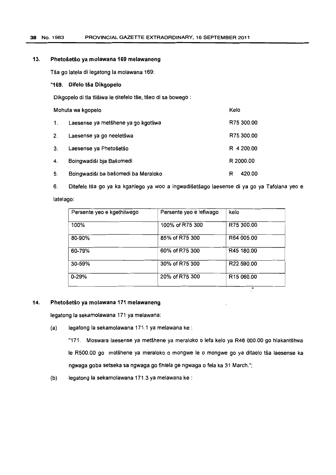# 38 No. 1983 PROVINCIAL GAZETTE EXTRAORDINARY. 16 SEPTEMBER 2011

### 13. Phetošetšo ya molawana 169 melawaneng

Tša go latela di legatong la molawana 169:

### "169. Difelo tša Dikgopelo

Dikgopelo di tla tlišiwa le ditefelo tše, tšeo di sa bowego :

| Mohuta wa kgopelo |                                     | Kelo |            |
|-------------------|-------------------------------------|------|------------|
| $\mathbf{1}$ .    | Laesense ya metšhene ya go kgotliwa |      | R75 300.00 |
| 2.                | Laesense ya go neeletšwa            |      | R75 300.00 |
| 3.                | Laesense ya Phetošetšo              |      | R 4 200.00 |
| 4.                | Boingwadiši bja Bašomedi            |      | R 2000.00  |
| 5.                | Boingwadiši ba bašomedi ba Meraloko | R    | 420.00     |

6. Ditefelo tša go ya ka kgahlego ya woo a ingwadišetšago laesense di ya go ya Tafolana yeo e

### latelago:

| Persente yeo e kgethilwego | Persente yeo e lefiwago | kelo                   |
|----------------------------|-------------------------|------------------------|
| 100%                       | 100% of R75 300         | R75 300.00             |
| 80-90%                     | 85% of R75 300          | R64 005.00             |
| 60-79%                     | 60% of R75 300          | R45 180.00             |
| 30-59%                     | 30% of R75 300          | R22 590.00             |
| $0 - 29%$                  | 20% of R75 300          | R <sub>15</sub> 060.00 |
|                            |                         | $\mathbf{H}$           |

### 14. Phetošetšo ya molawana 171 melawaneng

legatong la sekamolawana 171 ya melawana:

(a) legatong la sekamolawana 171.1 ya melawana ke :

"171. Moswara laesense ya metshene ya meraloko 0 lefa kelo ya R46 000.00 go hlakantshwa Ie R500.00 go motshene ya meraloko 0 mongwe Ie 0 mongwe go ya ditaelo tsa laesense ka ngwaga goba setseka sa ngwaga go fihlela ge ngwaga 0 fela ka 31 March.";

(b) legatong la sekamolawana 171.3 ya melawana ke :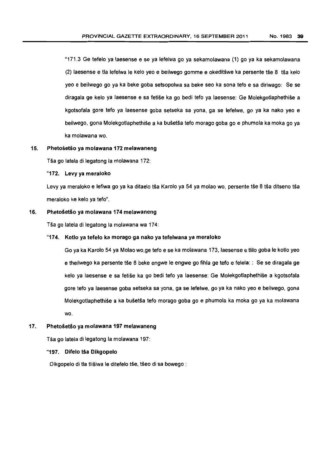"171.3 Ge tefelo ya laesense e se ya letelwa go ya sekamolawana (1) go ya ka sekamolawana (2) laesense e tla lefelwa Ie kelo yeo e beilwego gomme e okeditswe ka persente tse 8 tsa kelo yeo e beilwego go ya ka beke goba setsopolwa sa beke seo ka sona tefo e sa diriwago: Se se diragala ge kelo ya laesense e sa fetise ka go bedi tefo ya laesense: Ge Molekgotlaphethise a kgotsofala gore tefo ya laesense goba setseka sa yona, ga se lefelwe, go ya ka nako yeo e beilwego, gona Molekgotlaphethise a ka busetsa teto morago goba go e phumola ka moka go ya ka molawana wo.

### 15. Phetošetšo ya molawana 172 melawaneng

Tša go latela di legatong la molawana 172:

#### "172. Levy ya meraloko

Levy ya meraloko e lefiwa go ya ka ditaelo tša Karolo ya 54 ya molao wo, persente tše 8 tša ditseno tša meraloko ke kelo ya tefo".

#### 16. Phetošetšo ya molawana 174 melawaneng

Tša go latela di legatong la molawana wa 174:

#### "174. Kotlo ya tetelo ka morago ga nako ya tefelwana ya meraloko

Go ya ka Karolo 54 ya Molao wo,ge tefo e se ka molawana 173, laesense e tlilo goba le kotlo yeo e theilwego ka persente tše 8 beke engwe le engwe go fihla ge tefo e felela: : Se se diragala ge kelo ya laesense e sa fetise ka go bedi tefo ya laesense: Ge Molekgotlaphethise a kgotsotala gore teto ya laesense goba setseka sa yona, ga se lefelwe, go ya ka nako yeo e beilwego, gona Molekgotlaphethise a ka busetsa tefo morago goba go e phumola ka moka go ya ka molawana wo.

### 17. Phetošetšo ya molawana 197 melawaneng

Tša go latela di legatong la molawana 197:

### "197. Difelo tša Dikgopelo

Dikgopelo di tla tlišiwa le ditefelo tše, tšeo di sa bowego :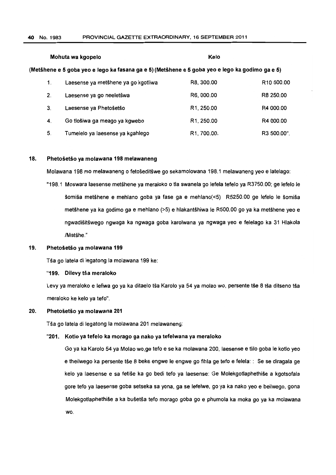# Mohuta wa kgopelo Kelo (Metshene e 5 goba yeo e lego ka fasana ga e 5) (Metihene e 5 goba yeo e lego ka godimo ga e 5) 1. Laesense ya metshene ya go kgotliwa R8,300.00 R10 500.00 2. Laesense ya go neeletswa R6, 000.00 R8250.00 3. Laesense ya Phetosetso R1,250.00 R4000.00 4. Go tlosiwa ga meago ya kgwebo R1,250.00 R4 000.00

5. Tumelelo ya laesense ya kgahlego R1,700.00. R3500.00".

#### 18. Phetošetšo ya molawana 198 melawaneng

Molawana 198 mo melawaneng 0 fetoseditswe go sekamolowana 198.1 melawaneng yeo e latelago:

"198.1 Moswara laesense metshene ya meraloko 0 tla swanela go lefela tefelo ya R3750.00; ge letelo Ie šomiša metšhene e mehlano goba ya fase ga e mehlano(<5) R5250.00 ge lefelo le šomiša metshene ya ka godimo ga e mehlano (>5) e hlakantshiwa Ie R500.00 go ya ka metshene yeo e ngwadisitswego ngwaga ka ngwaga goba karolwana ya ngwaga yeo e felelago ka 31 Hlakola /Matšhe."

#### 19. Phetošetšo ya molawana 199

Tša go latela di legatong la molawana 199 ke:

"199. Dilevy tša meraloko

Levy ya meraloko e lefiwa go ya ka ditaelo tša Karolo ya 54 ya molao wo, persente tše 8 tša ditseno tša meraloko ke kelo ya teto".

#### 20. Phetošetšo ya molawana 201

Tša go latela di legatong la molawana 201 melawaneng:

### "201. Kotlo ya tetelo ka morago 9a nako ya tefelwana ya meraloko

Go ya ka Karolo 54 ya Molao wo,ge tefo e se ka molawana 200, laesense e tlilo goba Ie kotlo yeo e theilwego ka persente tše 8 beke engwe Ie engwe go fihla ge tefo e felela:: Se se diragala ge kelo ya laesense e sa fetise ka go bedi *teto* ya laesense: Ge Molekgotlaphethise a kgotsofala gore tefo Ya laesense goba setseka sa yona, ga se lefelwe, go ya ka nako yeo e beilwego, gona Molekgotlaphethise a ka busetsa tefo morago goba go e phumola ka moka go ya ka mo/awana wo.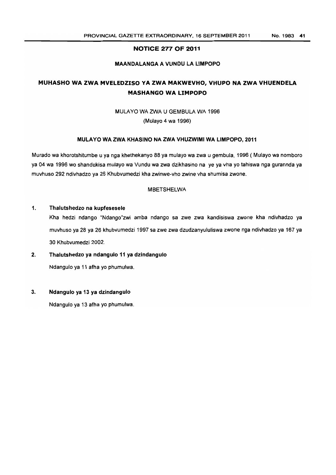### NOTICE 277 OF 2011

### MAANDALANGA A VUNDU LA LIMPOPO

# MUHASHO WA ZWA MVELEDZISO VA ZWA MAKWEVHO, VHUPO NA ZWA VHUENDELA MASHANGO WA LIMPOPO

### MULA YO WA ZWA U GEMBULA WA 1996

(Mulayo 4 wa 1996)

### MULAYO WA ZWA KHASINO NA ZWA VHUZWIMI WA LIMPOPO, 2011

Murado wa khorotshitumbe u ya nga khethekanyo 88 ya mulayo wa zwa u gembula, 1996 (Mulayo wa nomboro ya 04 wa 1996 wo shandukisa mulayo wa Vundu wa zwa dzikhasino na ye ya vha yo tahiswa nga gurannda ya muvhuso 292 ndivhadzo ya 26 Khubvumedzi kha zwinwe-vho zwine vha shumisa zwone.

# MBETSHELWA

### 1. Thalutshedzo na kupfesesele

Kha hedzi ndango "Ndango"zwi amba ndango sa zwe zwa kandisiswa zwone kha ndivhadzo ya muvhuso ya 28 ya 26 khubvumedzi 1997 sa zwe zwa dzudzanyululiswa zwone nga ndivhadzo ya 167 ya 30 Khubvumedzi 2002.

### 2. Thalutshedzo ya ndangulo 11 ya dzindangulo

Ndangulo ya 11 afha yo phumulwa.

### 3. Ndangulo ya 13 ya dzindangulo

Ndangulo ya 13 afha yo phumulwa.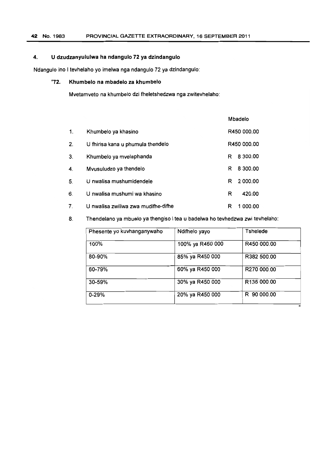# 4. U dzudzanyululwa ha ndangulo 72 ya dzindangulo

Ndangulo ino I tevhelaho yo imelwa nga ndangulo 72 ya dzindangulo:

# "72. Khumbelo na mbadelo za khumbelo

Mvetamveto na khumbelo dzi fheletshedzwa nga zwitevhelaho:

|    |                                     | Mbadelo       |
|----|-------------------------------------|---------------|
| 1. | Khumbelo ya khasino                 | R450 000.00   |
| 2. | U fhirisa kana u phumula thendelo   | R450 000.00   |
| 3. | Khumbelo ya mvelaphanda             | 8 300.00<br>R |
| 4. | Mvusuludzo ya thendelo              | 8 300.00<br>R |
| 5. | U nwalisa mushumidendele            | 2 000.00<br>R |
| 6. | U nwalisa mushumi wa khasino        | 420.00<br>R   |
| 7. | U nwalisa zwiliwa zwa mudifhe-difhe | 1 000.00<br>R |

8. Thendelano ya mbuelo ya thengiso i tea u badelwa ho tevhedzwa zwi tevhelaho:

| Phesente yo kuvhanganywaho | Ndifhelo yayo    | <b>Tshelede</b> |
|----------------------------|------------------|-----------------|
| 100%                       | 100% ya R450 000 | R450 000.00     |
| 80-90%                     | 85% ya R450 000  | R382 500.00     |
| 60-79%                     | 60% ya R450 000  | R270 000.00     |
| 30-59%                     | 30% ya R450 000  | R135 000.00     |
| $0 - 29%$                  | 20% ya R450 000  | R 90 000.00     |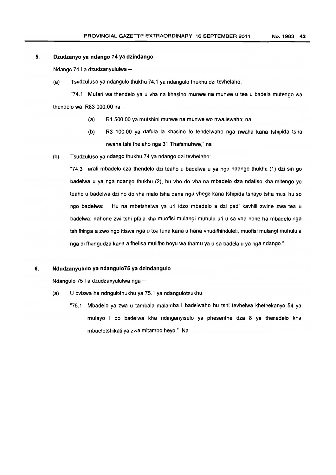#### 5. Dzudzanyo ya ndango 74 ya dzindango

Ndango 74 | a dzudzanyululwa -

(a) Tsudzuluse ya ndangulo thukhu 74.1 ya ndangulo thukhu dzi tevhelaho:

"74.1 Mufari wa thendelo ya u vha na khasino munwe na munwe u tea u badela mutengo wa thendelo wa  $R83000.00$  na  $-$ 

- (a) R1 500.00 ya mutshini munwe na munwe we nwaliswaho; na
- (b) R3 100.00 ya dafula la khasino lo tendelwaho nga nwaha kana tshipida tsha nwaha tshi fhelaho nga 31 Thafamuhwe," na
- (b) Tsudzuluso ya ndango thukhu 74 ya ndango dzi tevhelaho:

"74.3 arali mbadelo dza thendelo dzi teaho u badelwa u ya nga ndango thukhu (1) dzi sin go badelwa u ya nga ndango thukhu (2), hu vho do vha na mbadelo dza ndatiso kha mitengo yo teaho u badelwa dzi no do vha malo tsha dana nga vhege kana tshipida tshayo tsha musi hu so ngo badelwa: Hu na mbetshelwa ya uri idzo mbadelo a dzi padi kavhili zwine zwa tea u badelwa: nahone zwi tshi pfala kha muofisi mulangi muhulu uri u sa vha hone ha mbadelo nga tshifhinga a zwo ngo itiswa nga u tou funa kana u hana vhudifhinduleli, muofisi mulangi muhulu a nga di fhungudza kana a fhelisa mulifho hoyu wa thamu ya u sa badela u ya nga ndango.".

### 6. Ndudzanyululo ya ndangulo75 ya dzindangulo

Ndangulo 75 I a dzudzanyululwa nga -

- (a) U bviswa ha ndngulothukhu ya 75.1 ya ndangulothukhu:
	- "75.1 Mbadelo ya zwa u tambala malamba I badelwaho hu tshi tevhelwa khethekanyo 54 ya mulayo I do badelwa kha ndinganyiselo ya phesenthe dza 8 ya thenedelo kha mbuelotshikati ya zwa mitambo heyo." Na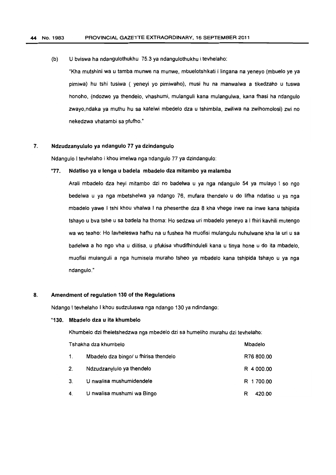(b) U bviswa ha ndangulothukhu 75.3 ya ndangulothukhu i tevhelaho:

"Kha mutshini wa u tamba munwe na munwe, mbuelotshikati i lingana na yeneyo (mbuelo ye ya pimiwa) hu tshi tusiwa ( yeneyi yo pimiwaho), musi hu na manwalwa a tikedzaho u tuswa honoho, (ndozwo ya thendelo, vhashumi, mulanguli kana mulangulwa, kana fhasi ha ndangulo zwayo,ndaka ya muthu hu sa katelwi mbedelo dza u tshimbila, zwiliwa na zwihomolosi) zwi no nekedzwa vhatambi sa pfufho."

### 7. Ndzudzanyululo ya ndangulo 77 ya dzindangulo

Ndangulo I tevhelaho i khou imelwa nga ndangulo 77 ya dzindangulo:

#### "77. Ndatiso ya u lenga u badela mbadelo dza mitambo ya malamba

Arali mbadelo dza heyi mitambo dzi no badelwa u ya nga ndangulo 54 ya muJayo I so ngo bedelwa u ya nga mbetshelwa ya ndango 76, mufara thendelo u do lifha ndatiso u ya nga mbadelo yawe I tshi khou vhalwa I na phesenthe dza 8 kha vhege inwe na inwe kana tshipida tshayo u bva tshe u sa badela ha thoma: Ho sedzwa uri mbadelo yeneyo a I fhiri kavhili mutengo wa wo teaho: Ho lavheleswa hafhu na u fushea ha muofisi mulangulu nuhulwane kha la uri u sa badelwa a ho ngo vha u diitisa, u pfukisa vhudifhinduleli kana u tinya hone u do ita mbadelo, muofisi mulanguli a nga humisela muraho tsheo ya mbadelo kana tshipida tshayo u ya nga ndangulo."

### 8. Amendment of regulation 130 of the Regulations

Ndango I tevhelaho I khou sudzuluswa nga ndango 130 ya ndindango:

#### "130. Mbadelo dza u ita khumbelo

Khumbelo dzi fheletshedzwa nga mbedelo dzi sa humeliho murahu dzi tevhelaho:

| Tshakha dza khumbelo |                                       | Mbadelo     |
|----------------------|---------------------------------------|-------------|
| 1.                   | Mbadelo dza bingo/ u fhirisa thendelo | R76 800.00  |
| 2 <sub>1</sub>       | Ndzudzanylulo ya thendelo             | R 4 000.00  |
| 3.                   | U nwalisa mushumidendele              | R 1700.00   |
|                      | 4. U nwalisa mushumi wa Bingo         | 420.00<br>R |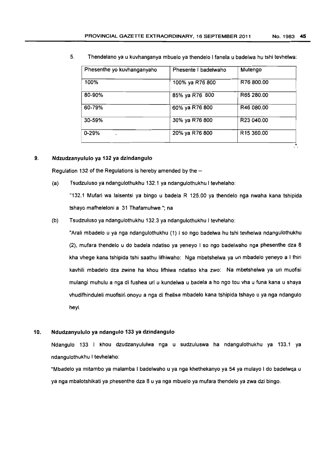| Phesenthe yo kuvhanganyaho | Phesente I badelwaho | Mutengo                |
|----------------------------|----------------------|------------------------|
| 100%                       | 100% ya R76 800      | R76 800.00             |
| 80-90%                     | 85% ya R76 800       | R65 280.00             |
| 60-79%                     | 60% ya R76 800       | R46 080.00             |
| 30-59%                     | 30% ya R76 800       | R23 040.00             |
| $0 - 29%$<br>$\bullet$     | 20% ya R76 800       | R <sub>15</sub> 360,00 |

5. Thendelano ya u kuvhanganya mbuelo ya thendelo I fanela u badelwa hu tshi tevhelwa:

### 9. Ndzudzanyululo ya 132 ya dzindangulo

Regulation 132 of the Regulations is hereby amended by the  $-$ 

(a) Tsudzuluso ya ndangulothukhu 132.1 ya ndangulothukhu I tevhelaho:

"132.1 Mufari wa laisentsi ya bingo u badela R 125.00 ya thendelo nga nwaha kana tshipida tshayo mafheleloni a 31 Thafamuhwe."; na

(b) Tsudzuluso ya ndangulothukhu 132.3 ya ndangulothukhu I tevhelaho:

"Arali mbsdelo u ya nga ndangulothukhu (1) I so ngo badelwa hu tshi tevhelwa ndangulothukhu (2), mufara thendelo u do badels ndatiso ya yeneyo I so ngo badelwaho nga phesenthe dza 8 kha vhege kana tshipida tshi saathu lifhiwaho: Nga mbetshelwa ya uri mbadelo yeneyo a I fhiri kavhili mbadelo dza zwine ha khou lifhiwa ndatiso kha zwo: Na mbetshelwa ya uri muofisi mulangi muhulu a nga di fushea uri u kundelwa u badela a ho ngo tou vha u funa kana u shaya vhudifhinduleli muofisiri onoyu a nga di fhelisa mbadelo kana tshipida tshayo u ya nga ndangulo heyi.

### 10. Ndudzanyululo ya ndangulo 133 ya dzindangulo

Ndangulo 133 I khou dzudzanyululwa nga u sudzuluswa ha ndangulothukhu ya 133.1 ya ndangulothukhu I tevhelaho:

"Mbadelo ya mitambo ya malamba I badelwaho u ya nga khethekanyo ya 54 ya mulayo I do badelwqa u ya nga mbalotshikati ya phesenthe dza 8 u ya nga mbuelo ya mufara thendelo ya zwa dzi bingo.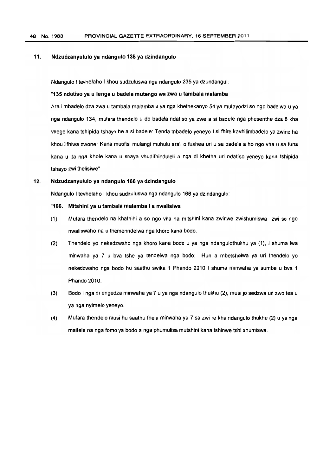#### 11. Ndzudzanyululo ya ndangulo 135 ya dzindangulo

Ndangulo I tevhelaho I khou sudzuluswa nga ndangulo 235 ya dzundangul:

#### "135 ndatiso ya u lenga u badela mutengo wa zwa u tambala malamba

Arali mbadelo dza zwa u tambala malamba u ya nga khethekanyo 54 ya mulayodzi so ngo badelwa u ya nga ndangulo 134, mufara thendelo u do badela ndatiso ya zwe a 5i badele nga phesenthe dza 8 kha vhege kana tshipida tshayo he a si badele: Tenda mbadelo yeneyo I si fhire kavhilimbadelo ya zwine ha khou lifhiwa zwone: Kana muofisi mulangi muhulu arali 0 fushea uri u sa badela a ho ngo vha u sa funa kana u ita nga khole kana u shaya vhudifhinduleli a nga di khetha uri ndatiso yeneyo kana tshipida tshayo zwi fhelisiwe"

#### 12. Ndzudzanyululo ya ndangulo 166 ya dzindangulo

Ndangulo I tevhelaho I khou sudzuluswa nga ndangulo 166 ya dzindangulo:

#### "166. Mitshini ya u tambala malamba I a nwalisiwa

- (1) Mufara thendelo na khathihi a so ngo vha na mitshini kana zwinwe zwishumiswa zwi so ngo nwaliswaho na u themenndelwa nga khoro kana bodo.
- (2) Thendelo yo nekedzwaho nga khoro kana bode u ya nga ndangulothukhu ya (1), I shuma Iwa minwaha ya 7 u bva tshe ya tendelwa nga bodo: Hun a mbetshelwa ya uri thendelo yo nekedzwaho nga bodo hu saathu swika 1 Phando 2010 I shuma minwaha ya sumbe u bva 1 Phando 2010.
- (3) Bodo I nga di engedza minwaha ya 7 u ya nga ndangulo thukhu (2), musi jo sedzwa uri zwo tea u ya nga nyimelo yeneyo.
- (4) Mufara thendelo musi hu saathu fhela minwaha ya 7 sa zwi re kha ndangulo thukhu (2) u ya nga maitele na n9a fomo ya bodo a nga phumulisa mutshini kana tshinwe tshi shumiswa.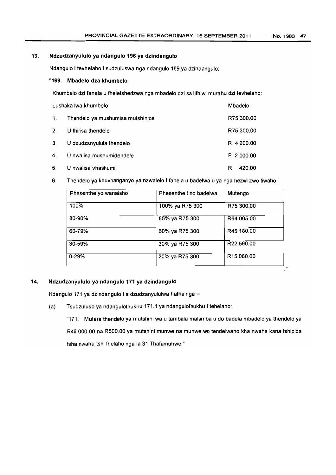# 13. Ndzudzanyululo ya ndangulo 196 ya dzindangulo

Ndangulo I tevhelaho I sudzuluswa nga ndangulo 169 ya dzindangulo:

### "169. Mbadelo dza khumbelo

Khumbelo dzi fanela u fheletshedzwa nga mbadelo dzi sa lifhiwi murahu dzi tevhelaho:

| Lushaka lwa khumbelo |                                  | Mbadelo     |  |
|----------------------|----------------------------------|-------------|--|
| $\mathbf{1}$ .       | Thendelo ya mushumisa mutshinice | R75 300.00  |  |
| 2.                   | U fhirisa thendelo               | R75 300.00  |  |
| 3.                   | U dzudzanyulula thendelo         | R 4 200.00  |  |
| 4.                   | U nwalisa mushumidendele         | R 2 000.00  |  |
| 5.                   | U nwalisa vhashumi               | 420.00<br>R |  |

### 6. Thendelo ya khuvhanganyo ya nzwalelo I fanela u badelwa u ya nga hezwi zwo tiwaho:

| Phesenthe yo wanalaho | Phesenthe i no badelwa | Mutengo                |
|-----------------------|------------------------|------------------------|
| 100%                  | 100% ya R75 300        | R75 300.00             |
| 80-90%                | 85% ya R75 300         | R64 005.00             |
| 60-79%                | 60% ya R75 300         | R45 180.00             |
| 30-59%                | 30% ya R75 300         | R22 590.00             |
| $0 - 29%$             | 20% ya R75 300         | R <sub>15</sub> 060.00 |

# 14. Ndzudzanyululo ya ndangulo 171 ya dzindangulo

Ndangulo 171 ya dzindangulo I a dzudzanyululwa hafha nga-

(a) Tsudzuluso ya ndangulothukhu 171.1 ya ndangulothukhu I tehelaho:

"171. Mufara thendelo ya mutshini wa u tambala malamba u do badela mbadelo ya thendelo ya R46 000.00 na R500.00 ya mutshini munwe na munwe wo tendelwaho kha nwaha kana tshipida tsha nwaha tshi fhelaho nga la 31 Thafamuhwe."

"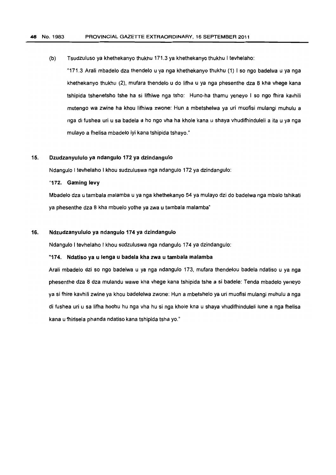(b) Tsudzuluso ya khethekanyo thukhu 171.3 ya khethekanyo thukhu I tevhelaho:

"171.3 Arali mbadelo dza thendelo u ya nga khethekanyo thukhu (1) I so ngo badelwa u ya nga khethekanyo thukhu (2), mufara thendelo u do lifha u ya nga phesenthe dza 8 kha vhege kana tshipida tshenetsho tshe ha si lifhiwe nga tsho: Huno-ha thamu yeneyo I so ngo fhira kavhili mutengo wa zwine ha khou lifhiwa zwone: Hun a mbetshelwa ya uri muofisi mulangi muhulu a nga di fushea uri u sa badela a ho ngo vha ha khole kana u shaya vhudifhinduleli a ita u ya nga mulayo a fhelisa mbadelo iyi kana tshipida tshayo."

# 15. Dzudzanyululo ya ndangulo 172 ya dzindangulo

Ndangulo I tevhelaho I khou sudzuluswa nga ndangulo 172 ya dzindangulo:

"172. Gaming levy

Mbadelo dza u tambala malamba u ya nga khethekanyo 54 ya mulayo dzi do badelwa nga mbalo tshikati ya phesenthe dza 8 kha mbuelo yothe ya ZWa u tambala malamba"

### 16. Ndzudzanyululo ya ndangulo 174 ya dzindangulo

Ndangulo I tevhelaho I khou sudzuluswa nga ndangulo 174 ya dzindangulo:

### "174. Ndatiso ya u lenga u badela kha zwa u tambala malamba

Arali mbadelo dzi so ngo badelwa u ya nga ndangulo 173, mufara thendelou badela ndatiso u ya nga phesenthe dza 8 dza mulandu wawe kha vhege kana tshipida tshe a si badele: Tenda mbadelo yeneyo ya si fhire kavhili zwine ya khou badelelwa zwone: Hun a mbetshelo ya uri muofisi mulangi muhulu a nga di fushea uri u sa lifha hoohu hu nga vha hu si nga khole kna u shaya vhudifhinduleli lune a nga fhelisa kana u fhirisela phanda ndatiso kana tshipida tsha yo."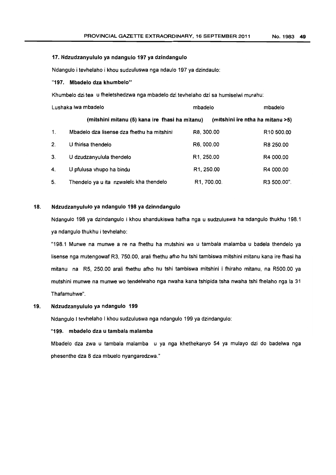#### 17. Ndzudzanyululo ya ndangulo 197 ya dzindangulo

Ndangulo i tevhefaho i khou sudzuluswa nga ndaulo 197 ya dzindaulo:

#### "197. Mbadelo dza khumbelo"

Khumbelo dzi tea u fheletshedzwa nga mbadelo dzi tevhelaho dzi sa humiselwi murahu:

|                | Lushaka lwa mbadelo                            | mbadelo                 | mbadelo                          |
|----------------|------------------------------------------------|-------------------------|----------------------------------|
|                | (mitshini mitanu (5) kana ire fhasi ha mitanu) |                         | (mitshini ire ntha ha mitanu >5) |
| $\mathbf{1}$ . | Mbadelo dza lisense dza fhethu ha mitshini     | R8, 300.00              | R <sub>10</sub> 500.00           |
| 2.             | U fhinsa thendelo                              | R6, 000.00              | R8 250.00                        |
| 3.             | U dzudzanyulula thendelo                       | R1, 250.00              | R4 000.00                        |
| 4.             | U pfulusa vhupo ha bindu                       | R <sub>1</sub> , 250.00 | R4 000.00                        |
| 5.             | Thendelo ya u ita nzwalelo kha thendelo        | R1, 700.00.             | R3 500.00".                      |

# 18. Ndzudzanyululo ya ndangulo 198 ya dzinndangulo

Ndangulo 198 ya dzindangulo i khou shandukiswa hafha nga u sudzuluswa ha ndangulo thukhu 198.1 ya ndangulo thukhu i tevhelaho:

"198.1 Munwe na munwe a re na fhethu ha mutshini wa u tambala malamba u badela thendelo ya lisense nga mutengowat R3, 750.00. arali fhethu afho hu tshi tambiswa mitshini mitanu kana ire fhasi ha mitanu na R5, 250.00 arali fhethu afho hu tshi tambiswa mitshini i fhiraho mitanu, na R500.00 ya mutshini munwe na munwe wo tendelwaho nga nwaha kana tshipida tsha nwaha tshi fhelaho nga la 31 Thafamuhwe".

# 19. Ndzudzanyululo ya ndangulo 199

Ndangulo I tevhelaho I khou sudzuluswa nga ndangulo 199 ya dzindangulo:

#### "199. mbadelo dza u tambala malamba

Mbadelo dza zwa u tambala malamba u ya nga khethekanyo 54 ya mulayo dzi do badelwa nga phesenthe dza 8 dza mbuelo nyangaredzwa."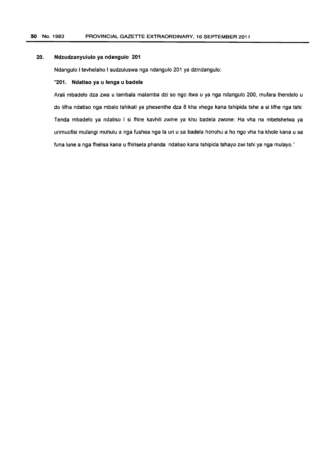#### 20. Ndzudzanyululo ya ndangulo 201

Ndangulo I tevhelaho I sudzuluswa nga ndangulo 201 ya dzindangulo:

### "201. Ndatiso ya u lenga u badela

Arali mbadelo dza zwa u tambala malamba dzi so ngo itwa u ya nga ndangulo 200, mufara thendelo u do lifha ndatiso nga mbalo tshikati ya phesenthe dza 8 kha vhege kana tshipida tshe a si lifhe nga tshi: Tenda mbadelo ya ndatiso I si fhire kavhili zwine ya khu badela zwone: Ha vha na mbetshelwa ya urimuofisi mulangi muhulu a nga fushea nga la uri u sa badela honohu a ho ngo vha ha khole kana u sa funa lune a nga fhelisa kana u fhirisela phanda ndatiso kana tshipida tshayo zwi tshi ya nga mulayo."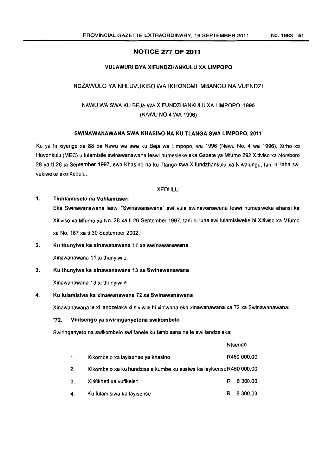### NOTICE 277 OF 2011

### VULAWURI BVA XIFUNOZHANKULU XA LIMPOPO

# NDZAWULO YA NHLUVUKISO WA IKHONOMI, MBANGO NA VUENDZI

# NAWU WA SWA KU BEJA WA XIFUNDZHANKULU XA LIMPOPO, 1996 (NAWU NO.4 WA 1996)

### SWINAWANAWANA SWA KHASINO NA KU TLANGA SWA LIMPOPO, 2011

Ku ya hi xiyenge xa 88 xa Nawu wa swa ku Beja wa Limpopo, wa 1996 (Nawu No.4 wa 1996), Xirho xa Huvonkulu (MEG) u lulamisile swinawanawana leswi humesieke eka Gazete ya Mfumo 292 Xitiviso xa Nomboro 28 ya ti 26 ta September 1997, swa Khasino na ku Tlanga swa Xifundzhankulu xa N'walungu, tani hi laha swi vekiweke eka Xedulu.

# XEDULU

#### 1. Tinhlamuselo na Vuhlamuseri

Eka Swinawanawana leswi "Swinawanawana" swi vula swinawanawana leswi humesiweke ehansi ka Xitiviso xa Mfumo xa No. 28 xa ti 26 September 1997, tani hi laha swi lulamisiweke hi Xitiviso xa Mfumo xa No. 167 xa ti 30 September 2002.

### 2. Ku thunyiwa ka xinawanawana 11 xa swinawanawana

Xinawanawana 11 xi thunyiwile.

### 3. Ku thunyiwa ka xinawanawana 13 xa Swinawanawana

Xinawanawana 13 xi thunyiwile.

### 4. Ku lulamisiwa ka xinawanawana 72 xa Swinawanawana

Xinawanawana Ie xi landzelaka xi siviwile hi xin'wana eka xinawanawana xa 72 xa Swinawanawana:

#### "72. Mintsengo ya swiringanyetona swlkombelo

Swiringanyeto na swikombelo swi fanele ku fambisana na Ie swi landzelaka:

|    |                                                                    |   | Ntsengo     |
|----|--------------------------------------------------------------------|---|-------------|
| 1. | Xikombelo xa layisense ya khasino                                  |   | R450 000.00 |
| 2. | Xikombelo xa ku hundzisela kumbe ku susiwa ka layisenseR450 000.00 |   |             |
| 3. | Xitifikheti xa vufikeleri                                          |   | R 8 300.00  |
| 4. | Ku lulamisiwa ka layisense                                         | R | 8 300.00    |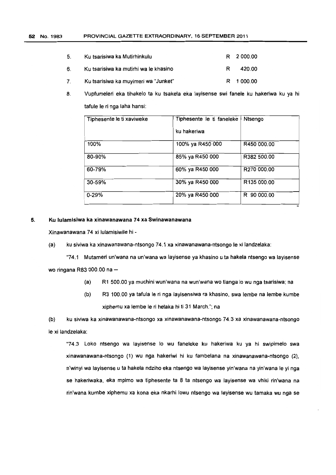| 5. | Ku tsarisiwa ka Mutirhinkulu          |    | R 2000.00 |
|----|---------------------------------------|----|-----------|
| 6. | Ku tsarisiwa ka mutirhi wa le khasino | R. | 420.00    |
|    | Ku tsarisiwa ka muyimeri wa "Junket"  |    | R 1000.00 |

8. Vupfumeleri eka tihakelo ta ku tsakela eka layisense swi fanele ku hakeriwa ku ya hi tafule Ie ri nga laha hansi:

| Tiphesente le ti xaviweke | Tiphesente le ti faneleke | Ntsengo     |
|---------------------------|---------------------------|-------------|
|                           | ku hakeriwa               |             |
| 100%                      | 100% ya R450 000          | R450 000.00 |
| 80-90%                    | 85% ya R450 000           | R382 500.00 |
| 60-79%                    | 60% ya R450 000           | R270 000.00 |
| 30-59%                    | 30% ya R450 000           | R135 000.00 |
| $0 - 29%$                 | 20% ya R450 000           | R 90 000.00 |

#### 5. Ku lulamisiwa ka xinawanawana 74 xa Swinawanawana

Xinawanawana 74 xi iulamisiwile hi-

(a) ku siviwa ka xinawanawana-ntsongo 74.1 xa xinawanawana-ntsongo Ie xi landzelaka:

"74.1 Mutameri un'wana na un'wana wa layisense ya khasino u ta hakela ntsengo wa layisense wo ringana R83 000.00 na  $-$ 

- (a) R1 500.00 ya muchini wun'wana na wun'wana wo tlanga 10 wu nga tsarisiwa; na
- (b) R3 100.00 ya tafula Ie ri nga layisensiwa ra khasino, swa lembe na lembe kumbe xiphemu xa lembe Ie ri helaka hi ti 31 March."; na

(b) ku siviwa ka xinawanawana-ntsongo xa xinawanawana-ntsongo 74.3 xa xinawanawana-ntsongo Ie xi landzelaka:

"74.3 Loko ntsengo wa layisense 10 wu faneleke ku hakeriwa ku ya hi swipimelo swa xinawanawana-ntsongo (1) wu nga hakeriwi hi ku fambelana na xinawanawana-ntsongo (2), n'winy; wa layisense u ta hakela ndziho eka ntsengo wa layisense yin'wana na yin'wana Ie yi nga se hakeriwaka, eka mpimo wa tiphesente ta 8 ta ntsengo wa layisense wa vhiki rin'wana na rin'wana kumbe xiphemu xa kona eka nkarhi lowu ntsengo wa layisense wu tam aka wu nga se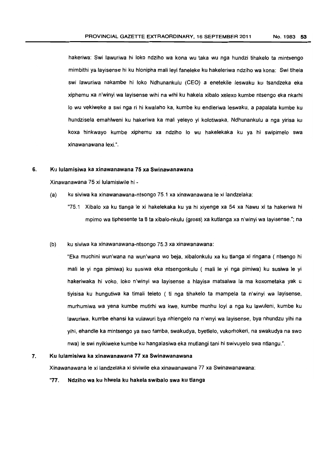hakeriwa: Swi lawuriwa hi loko ndziho wa kona wu taka wu nga hundzi tihakelo ta mintsengo mimbithi ya layisense hi ku hlonipha mali leyi faneleke ku hakeleriwa ndziho wa kona: Swi tlhela sw; lawuriwa nakambe hi loko Ndhunankulu (CEO) a enetekile leswaku ku tsandzeka eka xiphemu xa n'winyi wa layisense wihi na wihi ku hakela xibalo xelexo kumbe ntsengo eka nkarhi 10 wu vekiweke a swi nga ri hi kwalaho ka, kumbe ku endleriwa leswaku, a papalata kumbe ku hundzisela emahlweni ku hakeriwa ka mali yeleyo yi kolotiwaka, Ndhunankulu a nga yirisa ku koxa hinkwayo kumbe xiphemu xa ndziho 10 wu hakelekaka ku ya hi swipimelo swa xinawanawana lexi.".

#### 6. Ku lulamisiwa ka xinawanawana 75 xa Swinawanawana

Xinawanawana 75 xi lulamisiwile hi -

- (a) ku siviwa ka xinawanawana-ntsongo 75.1 xa xinawanawana Ie xi landzelaka:
	- "75.1 Xibalo xa ku tlanga Ie xi hakelekaka ku ya hi xiyenge xa 54 xa Nawu xi ta hakeriwa hi mpimo wa tiphesente ta 8 ta xibalo-nkulu (gross) xa kutlanga xa n'winyi wa layisense."; na

#### (b) ku siviwa ka xinawanawana-ntsongo 75.3 xa xinawanawana:

"Eka muchini wun'wana na wun'wana wo beja, xibalonkulu xa ku tlanga xi ringana ( ntsengo hi mali Ie yi nga pimiwa) ku susiwa eka ntsengonkulu ( mali Ie yi nga pimiwa) ku susiwa Ie yi hakeriwaka hi voko, loko n'winyi wa layisense a hlayisa matsalwa la ma koxometaka yak u tiyisisa ku hungutiwa ka timal; teleto ( ti nga tihakelo ta mampela ta n'winyi wa layisense. murhumiwa wa vena kumbe mutirhi wa kwe, kumbe munhu loyi a nga ku lawuleni, kumbe ku lawuriwa, kumbe ehansi ka vulawuri bya nhlengelo na n'wnyi wa layisense, bya nhundzu yihi na yihi, ehandle ka mintsengo ya swo famba, swakudya, byetlelo, vukorhokeri, na swakudya na swo nwa) Ie swi nyikiweke kumbe ku hangalasiwa eka mutlangi tani hi swivuyelo swa ntlangu.".

#### 7. Ku lulamisiwa ka xinawanawana 77 xa Swinawanawana

Xinawanawana Ie xi landzelaka xi siviwile eka xinawanawana 77 xa Swinawanawana:

"77. Ndziho wa ku hlwela ku hakela swibalo swa ku tlanga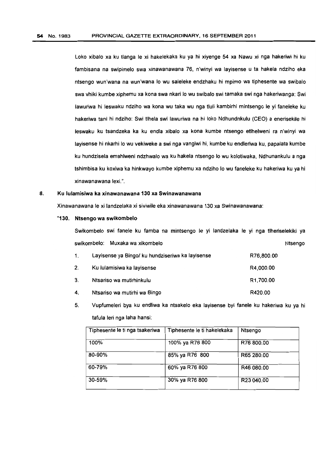Loko xibalo xa ku tlanga Ie xi hakelekaka ku ya hi xiyenge 54 xa Nawu xi nga hakeriwi hi ku fambisana na swipimelo swa xinawanawana 76. n'winyi wa layisense u ta hakela ndziho eka ntsengo wun'wana na wun'wana 10 wu saleleke endzhaku hi mpimo wa tiphesente wa swibalo swa vhiki kumbe xiphemu xa kona swa nkari lo wu swibalo swi tamaka swi nga hakeriwanga: Swi lawuriwa hi leswaku ndziho wa kona wu taka wu nga tluli kambirhi mintsengo Ie yi faneleke ku hakeriwa tani hi ndziho: Swi tlhela swi lawuriwa na hi loko Ndhundnkulu (CEO) a enerisekile hi leswaku ku tsandzeka ka ku endla xibalo xa kona kumbe ntsengo etlhelweni ra n'winyi wa layisense hi nkarhi 10 wu vekiweke a swi nga vangiwi hi, kumbe ku endleriwa ku, papalata kumbe ku hundzisela emahlweni ndzhwalo wa ku hakela ntsengo 10 wu kolotiwaka, Ndhunankulu a nga tshimbisa ku koxiwa ka hinkwayo kumbe xiphemu xa ndziho 10 wu faneleke ku hakeriwa ku ya hi xinawanawana lexi.".

#### 8. Ku lulamisiwa ka xinawanawana 130 xa Swinawanawana

Xinawanawana Ie xi landzelaka xi siviwile eka xinawanawana 130 xa Swinawanawana:

#### "130. Ntsengo wa swikombelo

Swikombelo swi fanele ku famba na mintsengo Ie yi landzelaka Ie yi nga tlheriselekiki ya swikombelo: Muxaka wa xikombelo Ntsengo

| 1. | Layisense ya Bingo/ ku hundziseriwa ka layisense | R76,800.00            |
|----|--------------------------------------------------|-----------------------|
| 2. | Ku lulamisiwa ka layisense                       | R4,000.00             |
| 3. | Ntsariso wa mutirhinkulu                         | R <sub>1.700.00</sub> |
| 4. | Ntsanso wa mutirhi wa Bingo                      | R420.00               |

5. Vupfumeleri bya ku endliwa ka ntsakelo eka layisense byi fanele ku hakeriwa ku ya hi tafula leri nga laha hansi:

| Tiphesente le ti nga tsakeriwa | Tiphesente le ti hakelekaka | Ntsengo    |
|--------------------------------|-----------------------------|------------|
| 100%                           | 100% ya R76 800             | R76 800.00 |
| 80-90%                         | 85% ya R76 800              | R65 280.00 |
| 60-79%                         | 60% ya R76 800              | R46 080.00 |
| 30-59%                         | 30% ya R76 800              | R23 040.00 |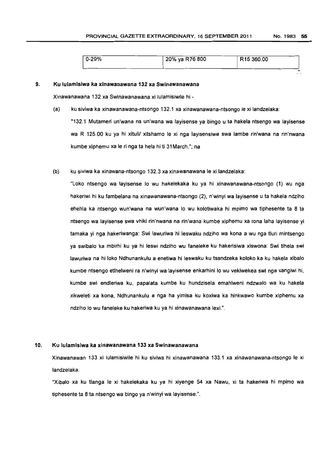| $0 - 29%$ | 20% ya R76 800 | R <sub>15</sub> 360.00 |
|-----------|----------------|------------------------|
|           |                |                        |

#### 9. Ku lulamlsiwa ka xinawanawana 132 xa Swinawanawana

Xinawanawana 132 xa Swinawanawana xi lulamisiwile hi -

(a) ku siviwa ka xinawanawana-ntsongo 132.1 xa xinawanawana-ntsongo Ie xi landzelaka:

"132.1 Mutameri un'wana na un'wana wa layisense ya bingo u ta hakela ntsengo wa layisense wa R 125.00 ku ya hi xituli/ xitshamo le xi nga layisensiwa swa lambe rin'wana na rin'nwana kumbe xiphemu xa Ie ri nga ta hela hi ti 31 March."; na

(b) ku siviwa ka xinawana-ntsongo 132.3 xa xinawanawana Ie xi landzelaka:

"Loko ntsengo wa layisense 10 wu hakelekaka ku ya hi xinawanawana-ntsongo (1) wu nga hakeriwi hi ku fambelana na xinawanawana-ntsongo (2), n'winyi wa layisense u ta hakela ndziho ehehla ka ntsengo wun'wana na wun'wana 10 wu kolotiwaka hi mpimo wa tiphesente ta 8 ta ntsengo wa layisense swa vhiki rin'nwana na rin'wana kumbe xiphemu xa rona laha layisense yi tam aka yi nga hakeriwanga: Swi lawuriwa hi leswaku ndziho wa kona a wu nga tluri mintsengo ya swibalo ka mbirhi ku ya hi leswi ndziho wu faneleke ku hakerisiwa xiswona: Swi tlhela swi lawuriwa na hi lake Ndhunankulu a enetiwa hi leswaku ku tsandzeka koloko ka ku hakela xibalo kumbe ntsengo etlhelweni ra n'winyi wa layisense enkarhini 10 wu vekiwekea swi nga vangiwi hi, kumbe swi endleriwa ku, papalata kumbe ku hundzisela emahlweni ndzwalo wa ku hakela xikweleti xa kona, Ndhunankulu a nga ha yimisa ku koxiwa ka hinkwawo kumbe xiphemu xa ndziho 10 wu faneleke ku hakeriwa ku ya hi xinawanawana lexi.".

#### 10. Ku lulamisiwa ka xinawanawana 133 xa Swinawanawana

Xinawanawan 133 xi lulamisiwile hi ku siviwa hi xinawanawana 133.1 xa xinawanawana-ntsongo Ie xi landzelaka:

"Xibalo xa ku tlanga le xi hakelekaka ku ya hi xiyenge 54 xa Nawu, xi ta hakeriwa hi mpimo wa tiphesente ta 8 ta ntsengo wa bingo ya n'winyi wa layisense.".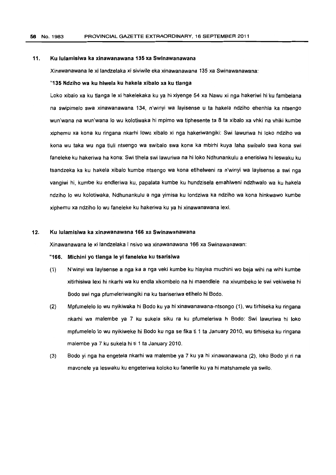#### 11. Ku lulamisiwa ka xinawanawana 135 xa Swlnawanawana

Xinawanawana le xi landzelaka xi siviwile eka xinawanawana 135 xa Swinawanawana:

#### "135 Ndziho wa ku hlwela ku hakela xibalo xa ku tlanga

Loko xibalo xa ku tlanga Ie xi hakelekaka ku ya hi xiyenge 54 xa Nawu xi nga hakeriwi hi ku fambelana na swipimelo swa xinawanawana 134, n'winyi wa Jayisense u ta hakela ndziho ehenhla ka ntsengo wun'wana na wun'wana lo wu kolotiwaka hi mpimo wa tiphesente ta 8 ta xibalo xa vhki na vhiki kumbe xiphemu xa kana ku ringana nkarhi lawu xibala xi nga hakeriwangiki: Swi lawuriwa hi lako ndziha wa kana wu taka wu nga tluli ntsengo wa swibala swa kana ka mbirhi kuya laha swibalo swa kana swi faneleke ku hakeriwa ha kana: Swi tlhela swi lawuriwa na hi loka Ndhunankulu a enerisiwa hi leswaku ku tsandzeka ka ku hakela xibalo kumbe ntsengo wa kana etlhelweni ra n'winyi wa layisense a swi nga vangiwi hi, kumbe ku endleriwa ku, papalata kumbe ku hundzisela emahlweni ndzhwalo wa ku hakela ndziho 10 wu kolotiwaka, Ndhunankulu a nga yimisa ku londziwa ka ndziho wa kona hinkwawo kumbe xiphemu xa ndziho 10 wu faneleke ku hakeriwa ku ya hi xinawanawana lexi.

# 12. Ku lulamisiwa ka xinawanawana 166 xa Swinawanawana

Xinawanawana Ie xi landzelaka I nsivo wa xinawanawana 166 xa Swinawanawan:

#### "166. Mlchini yo tlanga Ie yi faneleke ku tsarisiwa

- (1) N'winyi wa layisense a nga ka a nga veki kumbe ku hlayisa muchini wo beja wihi na wihi kumbe xitirhisiwa lexi hi nkarhi wa ku endla xikombelo na hi maendlele na xivumbeko Ie swi vekiweke hi Bodo swi nga pfumeleriwangiki na ku tsariseriwa etlhelo hi Bodo.
- (2) Mpfumelelo 10 wu nyikiwaka hi Bodo ku ya hi xinawanawana-ntsongo (1), wu tirhiseka ku ringana nkarhi wa malembe ya 7 ku sukela siku ra ku pfumeleriwa h Bodo: Swi lawuriwa hi loko mpfumelelo 10 wu nyikiweke hi Bodo ku nga se fika ti 1 ta January 2010, wu tirhiseka ku ringana malembe ya 7 ku sukela hi ti 1 ta January 2010.
- (3) Bodo yi nga ha engetela nkarhi wa malembe ya 7 ku ya hi xinawanawana (2), loko Bodo yi ri na mavonele ya leswaku ku engeteriwa koloko ku fanerile ku ya hi matshamele ya swilo.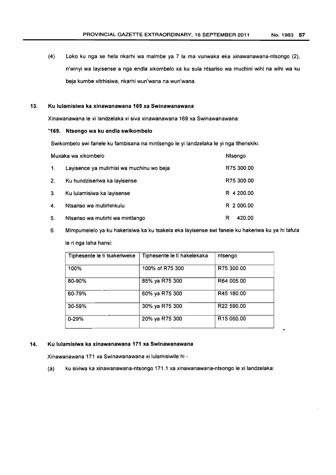$\mathbf{u}$ 

(4) Loko ku nga se hela nkarhi wa maim be ya 7 la ma vuriwaka eka xinawanawana-ntsongo (2), n'winyi wa layisense a nga endla xikombelo xa ku sula ntsariso wa muchini wihi na wihi wa ku beja kumbe xitrhisiwa, nkarhi wun'wana na wun'wana.

#### 13. Ku lulamisiwa ka xinawanawana 169 xa Swinawanawana

Xinawanawana Ie xi landzelaka xi siva xinawanawana 169 xa Swinawanawana:

#### "169. Ntsengo wa ku endla swikombelo

Swikombelo swi fanele ku fambisana na mintsengo Ie yi landzelaka Ie yi nga tlheriskiki:

| Muxaka wa xikombelo |                                           | Ntsengo     |
|---------------------|-------------------------------------------|-------------|
| $\mathbf{1}$ .      | Layisence ya mutirhisi wa muchinu wo beja | R75 300.00  |
| 2 <sub>1</sub>      | Ku hundziseriwa ka layisense              | R75 300.00  |
| 3 <sub>1</sub>      | Ku lulamisiwa ka layisense                | R 4 200.00  |
| 4.                  | Ntsariso wa mutirhinkulu                  | R 2 000.00  |
| 5.                  | Ntsariso wa mutirhi wa mintlango          | 420.00<br>R |

6. Mimpumelelo ya ku hakerisiwa ka ku tsakela eka layisense swi fanele ku hakeriwa ku ya hi tafula Ie ri nga laha hansi:

| Tiphesente le ti tsakeriweke | Tiphesente le ti hakelekaka | ntsengo                |
|------------------------------|-----------------------------|------------------------|
| 100%                         | 100% of R75 300             | R75 300.00             |
| 80-90%                       | 85% ya R75 300              | R64 005.00             |
| 60-79%                       | 60% ya R75 300              | R45 180.00             |
| $30 - 59%$                   | 30% ya R75 300              | R22 590.00             |
| $0 - 29%$                    | 20% ya R75 300              | R <sub>15</sub> 060,00 |

#### 14. Ku lulamisiwa ka xinawanawana 171 xa Swinawanawana

Xinawanawana 171 xa Swinawanawana xi lulamisiwile hi -

(a) ku siviwa ka xinawanawana-ntsongo 171.1 xa xinawanawana-ntsongo Ie xi landzelaka: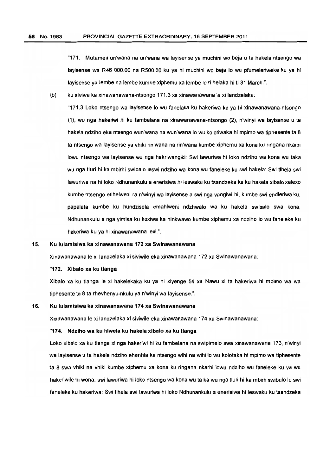"171. Mutameri un'wana na un'wana wa layisense ya muchini wo beja u ta hakela ntsengo wa layisense wa R46 000.00 na R500.OO ku ya hi muchin; wo beja 10 wu pfumeleriweke ku ya hi layisense ya lembe na lembe kumbe xiphemu xa lembe le ri helaka hi ti 31 March.".

(b) ku siviwa ka xinawanawana-ntsongo 171.3 xa xinawanawana Ie xi landzetaka:

"171.3 Loko ntsengo wa layisense 10 wu fanelaka ku hakeriwa ku ya hi xinawanawana-ntsongo (1), wu nga hakeriwi hi ku fambelana na xinawanawana-ntsongo (2), n'winyi wa layisense u ta hakela ndziho eka ntsengo wun'wana na wun'wana 10 wu kolotiwaka hi mpimo wa tiphesente ta 8 ta ntsengo wa layisense ya vhiki rin'wana na rin'wana kumbe xiphemu xa kona ku ringana nkarhi lowu ntsengo wa layisense wu nga hakriwangiki: Swi lawuriwa hi loko ndziho wa kona wu taka wu nga tluri hi ka mbirhi swibalo leswi ndziho wa kona wu faneleke ku swi hakela: Swi tlhela swi lawuriwa na hi loko Ndhunankulu a enerisiwa hi leswaku ku tsandzeka ka ku hakela xibalo xelexo kumbe ntsengo etlhelweni ra n'winyi wa layisense a swi nga vangiwi hi, kumbe swi endleriwa ku, papalata kumbe ku hundzisela emahlweni ndzhwalo wa ku hakela swibalo swa kona. Ndhunankulu a nga yimisa ku koxiwa ka hinkwawo kumbe xiphemu xa ndziho lo wu faneleke ku hakeriwa ku ya hi xinawanawana lexi.".

### 15. Ku tulamisiwa ka xinawanawana 172 xa Swinawanawana

Xinawanawana Ie xi landzelaka xi siviwile eka xinawanawana 172 xa Swinawanawana:

#### "172. Xibalo xa ku tlanga

Xibalo xa ku tlanga Ie xi hakelekaka ku ya hi xiyenge 54 xa Nawu xi ta hakeriwa hi mpimo wa wa tiphesente ta 8 ta rhevhenyu-nkulu ya n'winyi wa layisense.".

#### 16. Ku lulamisiwa ka xinawanawana 174 xa Swinawanawana

Xinawanawana Ie xi landzelaka xi siviwile eka xinawanawana 174 xa Swinawanawana:

# "174. Ndziho wa ku hlwela ku hakela xibalo xa ku tlanga

Loko xibalo xa ku tlanga xi nga hakeriwi hi ku fambelana na swipimelo swa xinawanawana 173, n'winyi wa layisense u ta hakela ndziho ehenhla ka ntsengo wihi na wihi lo wu kolotaka hi mpimo wa tiphesente ta 8 swa vhiki na vhiki kumbe xiphemu xa kona ku ringana nkarhi lowu ndziho wu faneleke ku va wu hakeriwile hi wona: swi lawuriwa hi loko ntsengo wa kona wu ta ka wu nga tluri hi ka mbirh swibalo Ie swi faneleke ku hakeriwa: Swi tlhela swi lawuriwa hi loka Ndhunankulu a enerisiwa hi leswaku ku tsandzeka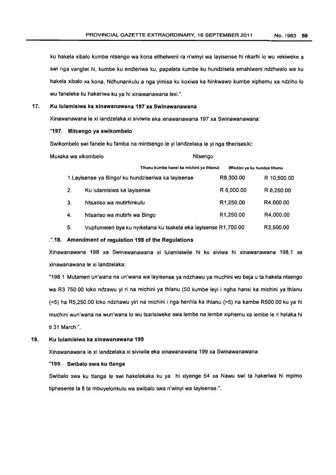ku hakela xibalo kumbe ntsengo wa kona etlhelweni ra n'winyi wa layisense hi nkarhi 10 wu vekiweke a swi nga vangiwi hi. kumbe ku endleriwa ku, papalata kumbe ku hundzisela emahlweni ndzhwalo wa ku hakela xibalo xa kona, Ndhunankulu a nga yimisa ku koxiwa ka hinkwawo kumbe xiphemu xa ndziho 10 wu faneleke ku hakeriwa ku ya hi xinawanawana lexi.".

#### 17. Ku lulamisiwa ka xinawanawana 197 xa Swlnawanawana

Xinawanawana Ie xi landzelaka xi siviwile eka xinawanawana 197 xa Swinawanawana:

#### "197. Mitsengo ya swikombelo

Swikombelo swi fanele ku famba na mintsengo Ie yi landzelaka Ie yi nga tlherisekiki:

| Muxaka wa xikombelo |                                                                 | Ntsengo                |                              |
|---------------------|-----------------------------------------------------------------|------------------------|------------------------------|
|                     | Tihanu kumbe hansi ka michini ya thianu)                        |                        | (Michini ya ku hundza tihanu |
|                     | 1. Layisense ya Bingo/ ku hundziseriwa ka layisense             | R8,300.00              | R 10,500.00                  |
| 2 <sub>1</sub>      | Ku lulamisiwa ka layisense                                      | R 6,000.00             | R 8,250.00                   |
| 3.                  | Ntsanso wa mutirhinkulu                                         | R <sub>1</sub> ,250.00 | R4,000.00                    |
| 4.                  | Ntsariso wa mutirhi wa Bingo                                    | R <sub>1</sub> ,250.00 | R4,000.00                    |
| 5.                  | Vupfumeleri bya ku nyiketana ku tsakela eka layisense R1,700.00 |                        | R3,500.00                    |

#### . ".18. Amendment of regulation 198 of the Regulations

Xinawanawana 198 xa Swinawanawana xi lulamisiwile hi ku siviwa hi xinawanawana 198.1 xa xinawanawana Ie xi landzelaka:

"198.1 Mutameri un'wana na un'wana wa layisense ya ndzhawu ya muchini wo beja uta hakela ntsengo wa R3 750.00 loko ndzawu yi ri na michini ya thlanu (50 kumbe leyi i ngha hansi ka michini ya thlanu «5) ha R5,250.00 loko ndzhawu yiri na michini i nga henhla ka thlanu (>5) na kambe R500.00 ku ya hi muchini wun'wana na wun'wana 10 wu tsarisiweke swa lembe na lembe xiphemu xa lembe Ie ri helaka hi ti 31 March.".

#### 19. Ku lulamisiwa ka xinawanawana 199

Xinawanawana Ie xi landzelaka xi siviwile eka xinawanawana 199 xa Swinawanawana:

#### "199. Swibalo swa ku tlanga

Swibalo swa ku tlanga Ie swi hakelekaka ku ya hi xiyenge 54 xa Nawu swi ta hakeriwa hi mpimo tiphesente ta 8 ta mbuyelonkulu wa swibalo swa n'winyi wa layisense.".